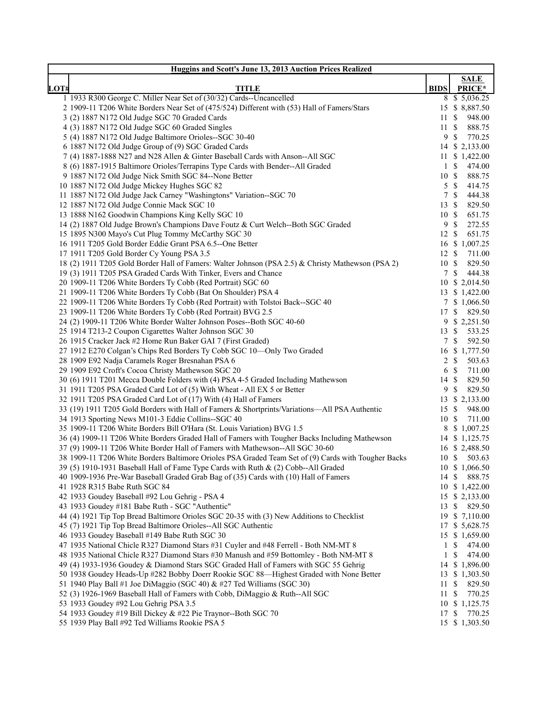| Huggins and Scott's June 13, 2013 Auction Prices Realized                                           |                  |                                   |  |  |  |  |
|-----------------------------------------------------------------------------------------------------|------------------|-----------------------------------|--|--|--|--|
|                                                                                                     |                  | <b>SALE</b>                       |  |  |  |  |
| LOT#<br><b>TITLE</b>                                                                                | <b>BIDS</b>      | PRICE*                            |  |  |  |  |
| 1 1933 R300 George C. Miller Near Set of (30/32) Cards--Uncancelled                                 |                  | 8 \$ 5,036.25                     |  |  |  |  |
| 2 1909-11 T206 White Borders Near Set of (475/524) Different with (53) Hall of Famers/Stars         |                  | 15 \$ 8,887.50                    |  |  |  |  |
| 3 (2) 1887 N172 Old Judge SGC 70 Graded Cards                                                       | 11 S             | 948.00                            |  |  |  |  |
| 4 (3) 1887 N172 Old Judge SGC 60 Graded Singles                                                     | 11               | -\$<br>888.75                     |  |  |  |  |
| 5 (4) 1887 N172 Old Judge Baltimore Orioles--SGC 30-40                                              | 9                | <sup>\$</sup><br>770.25           |  |  |  |  |
| 6 1887 N172 Old Judge Group of (9) SGC Graded Cards                                                 |                  | 14 \$ 2,133.00                    |  |  |  |  |
| 7 (4) 1887-1888 N27 and N28 Allen & Ginter Baseball Cards with Anson--All SGC                       |                  | 11 \$ 1,422.00                    |  |  |  |  |
| 8 (6) 1887-1915 Baltimore Orioles/Terrapins Type Cards with Bender--All Graded                      | $1 \text{ }$     | 474.00<br>888.75                  |  |  |  |  |
| 9 1887 N172 Old Judge Nick Smith SGC 84--None Better<br>10 1887 N172 Old Judge Mickey Hughes SGC 82 | 10S              |                                   |  |  |  |  |
| 11 1887 N172 Old Judge Jack Carney "Washingtons" Variation--SGC 70                                  | 5S<br>$\tau$     | 414.75<br>$\mathcal{S}$<br>444.38 |  |  |  |  |
| 12 1887 N172 Old Judge Connie Mack SGC 10                                                           | $13 \text{ }$ \$ | 829.50                            |  |  |  |  |
| 13 1888 N162 Goodwin Champions King Kelly SGC 10                                                    | 10S              | 651.75                            |  |  |  |  |
| 14 (2) 1887 Old Judge Brown's Champions Dave Foutz & Curt Welch--Both SGC Graded                    | 9                | $\mathbb{S}$<br>272.55            |  |  |  |  |
| 15 1895 N300 Mayo's Cut Plug Tommy McCarthy SGC 30                                                  | 12 \$            | 651.75                            |  |  |  |  |
| 16 1911 T205 Gold Border Eddie Grant PSA 6.5--One Better                                            |                  | 16 \$ 1,007.25                    |  |  |  |  |
| 17 1911 T205 Gold Border Cy Young PSA 3.5                                                           | $12 \text{ }$ \$ | 711.00                            |  |  |  |  |
| 18 (2) 1911 T205 Gold Border Hall of Famers: Walter Johnson (PSA 2.5) & Christy Mathewson (PSA 2)   | 10S              | 829.50                            |  |  |  |  |
| 19 (3) 1911 T205 PSA Graded Cards With Tinker, Evers and Chance                                     | $7\phantom{.0}$  | 444.38<br>\$                      |  |  |  |  |
| 20 1909-11 T206 White Borders Ty Cobb (Red Portrait) SGC 60                                         |                  | 10 \$ 2,014.50                    |  |  |  |  |
| 21 1909-11 T206 White Borders Ty Cobb (Bat On Shoulder) PSA 4                                       |                  | 13 \$ 1,422.00                    |  |  |  |  |
| 22 1909-11 T206 White Borders Ty Cobb (Red Portrait) with Tolstoi Back--SGC 40                      | $7\overline{ }$  | \$1,066.50                        |  |  |  |  |
| 23 1909-11 T206 White Borders Ty Cobb (Red Portrait) BVG 2.5                                        | 17S              | 829.50                            |  |  |  |  |
| 24 (2) 1909-11 T206 White Border Walter Johnson Poses--Both SGC 40-60                               |                  | 9 \$ 2,251.50                     |  |  |  |  |
| 25 1914 T213-2 Coupon Cigarettes Walter Johnson SGC 30                                              | 13               | 533.25<br>\$                      |  |  |  |  |
| 26 1915 Cracker Jack #2 Home Run Baker GAI 7 (First Graded)                                         | $7\overline{ }$  | 592.50<br>-S                      |  |  |  |  |
| 27 1912 E270 Colgan's Chips Red Borders Ty Cobb SGC 10-Only Two Graded                              |                  | 16 \$ 1,777.50                    |  |  |  |  |
| 28 1909 E92 Nadja Caramels Roger Bresnahan PSA 6                                                    | $2 \sqrt{s}$     | 503.63                            |  |  |  |  |
| 29 1909 E92 Croft's Cocoa Christy Mathewson SGC 20                                                  | 6 <sup>°</sup>   | 711.00                            |  |  |  |  |
| 30 (6) 1911 T201 Mecca Double Folders with (4) PSA 4-5 Graded Including Mathewson                   | 14 \$            | 829.50                            |  |  |  |  |
| 31 1911 T205 PSA Graded Card Lot of (5) With Wheat - All EX 5 or Better                             | 9                | 829.50<br>-S                      |  |  |  |  |
| 32 1911 T205 PSA Graded Card Lot of (17) With (4) Hall of Famers                                    |                  | 13 \$ 2,133.00                    |  |  |  |  |
| 33 (19) 1911 T205 Gold Borders with Hall of Famers & Shortprints/Variations—All PSA Authentic       | 15S              | 948.00                            |  |  |  |  |
| 34 1913 Sporting News M101-3 Eddie Collins--SGC 40                                                  | 10S              | 711.00                            |  |  |  |  |
| 35 1909-11 T206 White Borders Bill O'Hara (St. Louis Variation) BVG 1.5                             |                  | 8 \$ 1,007.25                     |  |  |  |  |
| 36 (4) 1909-11 T206 White Borders Graded Hall of Famers with Tougher Backs Including Mathewson      |                  | 14 \$ 1,125.75                    |  |  |  |  |
| 37 (9) 1909-11 T206 White Border Hall of Famers with Mathewson--All SGC 30-60                       |                  | 16 \$ 2,488.50                    |  |  |  |  |
| 38 1909-11 T206 White Borders Baltimore Orioles PSA Graded Team Set of (9) Cards with Tougher Backs |                  | 10 \$ 503.63                      |  |  |  |  |
| 39 (5) 1910-1931 Baseball Hall of Fame Type Cards with Ruth & (2) Cobb--All Graded                  |                  | 10 \$ 1,066.50                    |  |  |  |  |
| 40 1909-1936 Pre-War Baseball Graded Grab Bag of (35) Cards with (10) Hall of Famers                | 14S              | 888.75                            |  |  |  |  |
| 41 1928 R315 Babe Ruth SGC 84                                                                       |                  | 10 \$ 1,422.00                    |  |  |  |  |
| 42 1933 Goudey Baseball #92 Lou Gehrig - PSA 4                                                      |                  | 15 \$ 2,133.00                    |  |  |  |  |
| 43 1933 Goudey #181 Babe Ruth - SGC "Authentic"                                                     | 13               | \$829.50                          |  |  |  |  |
| 44 (4) 1921 Tip Top Bread Baltimore Orioles SGC 20-35 with (3) New Additions to Checklist           |                  | 19 \$ 7,110.00                    |  |  |  |  |
| 45 (7) 1921 Tip Top Bread Baltimore Orioles--All SGC Authentic                                      |                  | 17 \$ 5,628.75                    |  |  |  |  |
| 46 1933 Goudey Baseball #149 Babe Ruth SGC 30                                                       |                  | 15 \$ 1,659.00                    |  |  |  |  |
| 47 1935 National Chicle R327 Diamond Stars #31 Cuyler and #48 Ferrell - Both NM-MT 8                | $1 \text{ } s$   | 474.00                            |  |  |  |  |
| 48 1935 National Chicle R327 Diamond Stars #30 Manush and #59 Bottomley - Both NM-MT 8              | 1                | 474.00<br>\$                      |  |  |  |  |
| 49 (4) 1933-1936 Goudey & Diamond Stars SGC Graded Hall of Famers with SGC 55 Gehrig                |                  | 14 \$ 1,896.00                    |  |  |  |  |
| 50 1938 Goudey Heads-Up #282 Bobby Doerr Rookie SGC 88-Highest Graded with None Better              |                  | 13 \$ 1,303.50                    |  |  |  |  |
| 51 1940 Play Ball #1 Joe DiMaggio (SGC 40) & #27 Ted Williams (SGC 30)                              | 11               | 829.50<br>\$                      |  |  |  |  |
| 52 (3) 1926-1969 Baseball Hall of Famers with Cobb, DiMaggio & Ruth--All SGC                        | 11S              | 770.25                            |  |  |  |  |
| 53 1933 Goudey #92 Lou Gehrig PSA 3.5                                                               |                  | 10 \$ 1,125.75                    |  |  |  |  |
| 54 1933 Goudey #19 Bill Dickey & #22 Pie Traynor--Both SGC 70                                       | 17               | 770.25<br>-S                      |  |  |  |  |
| 55 1939 Play Ball #92 Ted Williams Rookie PSA 5                                                     |                  | 15 \$ 1,303.50                    |  |  |  |  |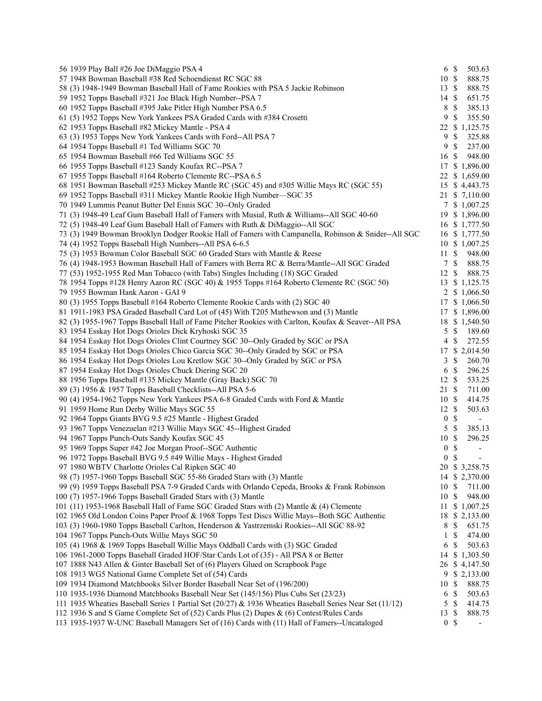| 56 1939 Play Ball #26 Joe DiMaggio PSA 4                                                                 | 6 <sup>°</sup>   |               | 503.63                   |
|----------------------------------------------------------------------------------------------------------|------------------|---------------|--------------------------|
| 57 1948 Bowman Baseball #38 Red Schoendienst RC SGC 88                                                   | $10 \text{ }$ \$ |               | 888.75                   |
| 58 (3) 1948-1949 Bowman Baseball Hall of Fame Rookies with PSA 5 Jackie Robinson                         | 13S              |               | 888.75                   |
| 59 1952 Topps Baseball #321 Joe Black High Number--PSA 7                                                 | $14 \text{ }$ \$ |               | 651.75                   |
| 60 1952 Topps Baseball #395 Jake Pitler High Number PSA 6.5                                              | 8                | $\mathbb{S}$  | 385.13                   |
| 61 (5) 1952 Topps New York Yankees PSA Graded Cards with #384 Crosetti                                   | 9                | $\mathbb{S}$  | 355.50                   |
| 62 1953 Topps Baseball #82 Mickey Mantle - PSA 4                                                         |                  |               | 22 \$ 1,125.75           |
| 63 (3) 1953 Topps New York Yankees Cards with Ford--All PSA 7                                            | 9                | $\mathbb{S}$  | 325.88                   |
| 64 1954 Topps Baseball #1 Ted Williams SGC 70                                                            | 9                | $\mathbb{S}$  | 237.00                   |
| 65 1954 Bowman Baseball #66 Ted Williams SGC 55                                                          | 16 \$            |               | 948.00                   |
| 66 1955 Topps Baseball #123 Sandy Koufax RC--PSA 7                                                       |                  |               | 17 \$ 1,896.00           |
| 67 1955 Topps Baseball #164 Roberto Clemente RC--PSA 6.5                                                 |                  |               | 22 \$ 1,659.00           |
| 68 1951 Bowman Baseball #253 Mickey Mantle RC (SGC 45) and #305 Willie Mays RC (SGC 55)                  |                  |               | 15 \$ 4,443.75           |
| 69 1952 Topps Baseball #311 Mickey Mantle Rookie High Number-SGC 35                                      |                  |               | 21 \$ 7,110.00           |
| 70 1949 Lummis Peanut Butter Del Ennis SGC 30--Only Graded                                               |                  |               |                          |
| 71 (3) 1948-49 Leaf Gum Baseball Hall of Famers with Musial, Ruth & Williams--All SGC 40-60              |                  |               | 7 \$ 1,007.25            |
|                                                                                                          |                  |               | 19 \$ 1,896.00           |
| 72 (5) 1948-49 Leaf Gum Baseball Hall of Famers with Ruth & DiMaggio--All SGC                            |                  |               | 16 \$ 1,777.50           |
| 73 (3) 1949 Bowman Brooklyn Dodger Rookie Hall of Famers with Campanella, Robinson & Snider--All SGC     |                  |               | 16 \$ 1,777.50           |
| 74 (4) 1952 Topps Baseball High Numbers--All PSA 6-6.5                                                   |                  |               | 10 \$ 1,007.25           |
| 75 (3) 1953 Bowman Color Baseball SGC 60 Graded Stars with Mantle & Reese                                | 11S              |               | 948.00                   |
| 76 (4) 1948-1953 Bowman Baseball Hall of Famers with Berra RC & Berra/Mantle--All SGC Graded             | 7S               |               | 888.75                   |
| 77 (53) 1952-1955 Red Man Tobacco (with Tabs) Singles Including (18) SGC Graded                          | 12S              |               | 888.75                   |
| 78 1954 Topps #128 Henry Aaron RC (SGC 40) & 1955 Topps #164 Roberto Clemente RC (SGC 50)                |                  |               | 13 \$ 1,125.75           |
| 79 1955 Bowman Hank Aaron - GAI 9                                                                        |                  |               | 2 \$ 1,066.50            |
| 80 (3) 1955 Topps Baseball #164 Roberto Clemente Rookie Cards with (2) SGC 40                            | 17               |               | \$1,066.50               |
| 81 1911-1983 PSA Graded Baseball Card Lot of (45) With T205 Mathewson and (3) Mantle                     |                  |               | 17 \$ 1,896.00           |
| 82 (3) 1955-1967 Topps Baseball Hall of Fame Pitcher Rookies with Carlton, Koufax & Seaver--All PSA      |                  |               | 18 \$ 1,540.50           |
| 83 1954 Esskay Hot Dogs Orioles Dick Kryhoski SGC 35                                                     | 5                | \$            | 189.60                   |
| 84 1954 Esskay Hot Dogs Orioles Clint Courtney SGC 30--Only Graded by SGC or PSA                         | 4                | <sup>\$</sup> | 272.55                   |
| 85 1954 Esskay Hot Dogs Orioles Chico Garcia SGC 30--Only Graded by SGC or PSA                           |                  |               | 17 \$ 2,014.50           |
| 86 1954 Esskay Hot Dogs Orioles Lou Kretlow SGC 30--Only Graded by SGC or PSA                            | 3                | $\mathbb{S}$  | 260.70                   |
| 87 1954 Esskay Hot Dogs Orioles Chuck Diering SGC 20                                                     | 6                | $\mathbb{S}$  | 296.25                   |
| 88 1956 Topps Baseball #135 Mickey Mantle (Gray Back) SGC 70                                             | $12 \text{ }$ \$ |               | 533.25                   |
| 89 (3) 1956 & 1957 Topps Baseball Checklists--All PSA 5-6                                                | 21 \$            |               | 711.00                   |
| 90 (4) 1954-1962 Topps New York Yankees PSA 6-8 Graded Cards with Ford & Mantle                          | 10S              |               | 414.75                   |
| 91 1959 Home Run Derby Willie Mays SGC 55                                                                | $12 \text{ }$ \$ |               | 503.63                   |
| 92 1964 Topps Giants BVG 9.5 #25 Mantle - Highest Graded                                                 | 0 <sup>5</sup>   |               | $\blacksquare$           |
| 93 1967 Topps Venezuelan #213 Willie Mays SGC 45--Highest Graded                                         | 5                | -\$           | 385.13                   |
| 94 1967 Topps Punch-Outs Sandy Koufax SGC 45                                                             | 10 \$            |               | 296.25                   |
| 95 1969 Topps Super #42 Joe Morgan Proof--SGC Authentic                                                  | $\boldsymbol{0}$ | $\mathbb{S}$  | $\overline{\phantom{a}}$ |
| 96 1972 Topps Baseball BVG 9.5 #49 Willie Mays - Highest Graded                                          | $\overline{0}$   | $\mathbb{S}$  |                          |
| 97 1980 WBTV Charlotte Orioles Cal Ripken SGC 40                                                         |                  |               |                          |
|                                                                                                          |                  |               | 20 \$ 3,258.75           |
| 98 (7) 1957-1960 Topps Baseball SGC 55-86 Graded Stars with (3) Mantle                                   |                  |               | 14 \$ 2,370.00           |
| 99 (9) 1959 Topps Baseball PSA 7-9 Graded Cards with Orlando Cepeda, Brooks & Frank Robinson             | 10S              |               | 711.00                   |
| 100 (7) 1957-1966 Topps Baseball Graded Stars with (3) Mantle                                            | 10S              |               | 948.00                   |
| 101 (11) 1953-1968 Baseball Hall of Fame SGC Graded Stars with (2) Mantle & (4) Clemente                 |                  |               | 11 \$ 1,007.25           |
| 102 1965 Old London Coins Paper Proof & 1968 Topps Test Discs Willie Mays--Both SGC Authentic            |                  |               | 18 \$ 2,133.00           |
| 103 (3) 1960-1980 Topps Baseball Carlton, Henderson & Yastrzemski Rookies--All SGC 88-92                 | 8                | $\mathbb{S}$  | 651.75                   |
| 104 1967 Topps Punch-Outs Willie Mays SGC 50                                                             | 1                | $\mathbb{S}$  | 474.00                   |
| 105 (4) 1968 & 1969 Topps Baseball Willie Mays Oddball Cards with (3) SGC Graded                         | 6                | $\mathbb{S}$  | 503.63                   |
| 106 1961-2000 Topps Baseball Graded HOF/Star Cards Lot of (35) - All PSA 8 or Better                     | 14               |               | \$1,303.50               |
| 107 1888 N43 Allen & Ginter Baseball Set of (6) Players Glued on Scrapbook Page                          |                  |               | 26 \$4,147.50            |
| 108 1913 WG5 National Game Complete Set of (54) Cards                                                    |                  |               | 9 \$ 2,133.00            |
| 109 1934 Diamond Matchbooks Silver Border Baseball Near Set of (196/200)                                 | 10               | $\mathbb{S}$  | 888.75                   |
| 110 1935-1936 Diamond Matchbooks Baseball Near Set (145/156) Plus Cubs Set (23/23)                       | 6                | $\mathbb{S}$  | 503.63                   |
| 111 1935 Wheaties Baseball Series 1 Partial Set (20/27) & 1936 Wheaties Baseball Series Near Set (11/12) | 5                | -\$           | 414.75                   |
| 112 1936 S and S Game Complete Set of (52) Cards Plus (2) Dupes & (6) Contest/Rules Cards                | 13 \$            |               | 888.75                   |
| 113 1935-1937 W-UNC Baseball Managers Set of (16) Cards with (11) Hall of Famers--Uncataloged            | 0 <sup>5</sup>   |               |                          |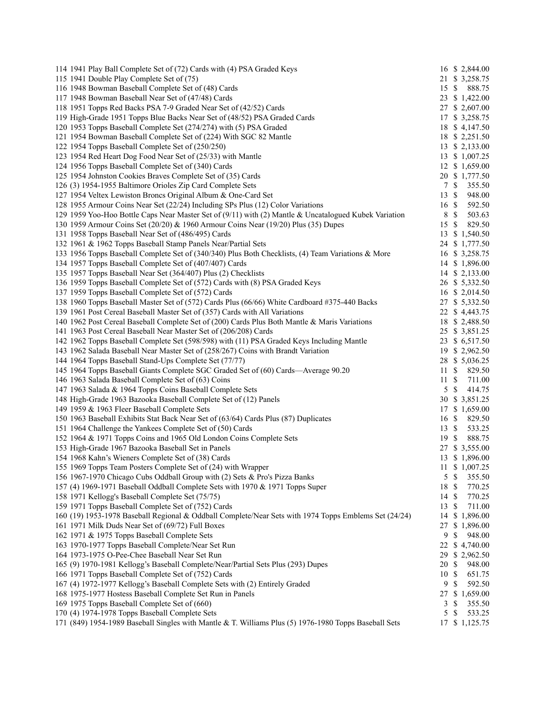| 114 1941 Play Ball Complete Set of (72) Cards with (4) PSA Graded Keys                                                                                     |                  | 16 \$ 2,844.00                      |
|------------------------------------------------------------------------------------------------------------------------------------------------------------|------------------|-------------------------------------|
| 115 1941 Double Play Complete Set of (75)                                                                                                                  |                  | 21 \$ 3,258.75                      |
| 116 1948 Bowman Baseball Complete Set of (48) Cards                                                                                                        | 15 \$            | 888.75                              |
| 117 1948 Bowman Baseball Near Set of (47/48) Cards                                                                                                         |                  | 23 \$ 1,422.00                      |
| 118 1951 Topps Red Backs PSA 7-9 Graded Near Set of (42/52) Cards                                                                                          |                  | 27 \$ 2,607.00                      |
| 119 High-Grade 1951 Topps Blue Backs Near Set of (48/52) PSA Graded Cards                                                                                  |                  | 17 \$ 3,258.75                      |
| 120 1953 Topps Baseball Complete Set (274/274) with (5) PSA Graded                                                                                         |                  | 18 \$4,147.50                       |
| 121 1954 Bowman Baseball Complete Set of (224) With SGC 82 Mantle                                                                                          |                  | 18 \$ 2,251.50                      |
| 122 1954 Topps Baseball Complete Set of (250/250)                                                                                                          |                  | 13 \$ 2,133.00                      |
| 123 1954 Red Heart Dog Food Near Set of (25/33) with Mantle                                                                                                |                  | 13 \$ 1,007.25                      |
| 124 1956 Topps Baseball Complete Set of (340) Cards                                                                                                        |                  | 12 \$ 1,659.00                      |
| 125 1954 Johnston Cookies Braves Complete Set of (35) Cards                                                                                                |                  | 20 \$ 1,777.50                      |
| 126 (3) 1954-1955 Baltimore Orioles Zip Card Complete Sets                                                                                                 | 7S               | 355.50                              |
| 127 1954 Veltex Lewiston Broncs Original Album & One-Card Set                                                                                              | $13 \text{ }$ \$ | 948.00                              |
| 128 1955 Armour Coins Near Set (22/24) Including SPs Plus (12) Color Variations                                                                            | $16 \text{ }$ \$ | 592.50                              |
| 129 1959 Yoo-Hoo Bottle Caps Near Master Set of (9/11) with (2) Mantle & Uncatalogued Kubek Variation                                                      | 8                | $\mathbb{S}$<br>503.63              |
| 130 1959 Armour Coins Set (20/20) & 1960 Armour Coins Near (19/20) Plus (35) Dupes                                                                         | 15 \$            | 829.50                              |
| 131 1958 Topps Baseball Near Set of (486/495) Cards                                                                                                        |                  | 13 \$ 1,540.50                      |
| 132 1961 & 1962 Topps Baseball Stamp Panels Near/Partial Sets                                                                                              |                  | 24 \$ 1,777.50                      |
| 133 1956 Topps Baseball Complete Set of (340/340) Plus Both Checklists, (4) Team Variations & More                                                         |                  | 16 \$ 3,258.75                      |
| 134 1957 Topps Baseball Complete Set of (407/407) Cards                                                                                                    |                  | 14 \$ 1,896.00                      |
| 135 1957 Topps Baseball Near Set (364/407) Plus (2) Checklists                                                                                             |                  | 14 \$ 2,133.00                      |
| 136 1959 Topps Baseball Complete Set of (572) Cards with (8) PSA Graded Keys                                                                               |                  | 26 \$ 5,332.50                      |
| 137 1959 Topps Baseball Complete Set of (572) Cards                                                                                                        |                  | 16 \$ 2,014.50                      |
| 138 1960 Topps Baseball Master Set of (572) Cards Plus (66/66) White Cardboard #375-440 Backs                                                              |                  | 27 \$ 5,332.50                      |
| 139 1961 Post Cereal Baseball Master Set of (357) Cards with All Variations                                                                                |                  | 22 \$4,443.75                       |
| 140 1962 Post Cereal Baseball Complete Set of (200) Cards Plus Both Mantle & Maris Variations                                                              |                  | 18 \$ 2,488.50                      |
| 141 1963 Post Cereal Baseball Near Master Set of (206/208) Cards                                                                                           |                  | 25 \$ 3,851.25                      |
| 142 1962 Topps Baseball Complete Set (598/598) with (11) PSA Graded Keys Including Mantle                                                                  |                  | 23 \$ 6,517.50                      |
| 143 1962 Salada Baseball Near Master Set of (258/267) Coins with Brandt Variation                                                                          |                  | 19 \$ 2,962.50                      |
| 144 1964 Topps Baseball Stand-Ups Complete Set (77/77)                                                                                                     |                  | 28 \$ 5,036.25                      |
| 145 1964 Topps Baseball Giants Complete SGC Graded Set of (60) Cards—Average 90.20                                                                         | 11S              | 829.50                              |
| 146 1963 Salada Baseball Complete Set of (63) Coins                                                                                                        | 11S              | 711.00                              |
| 147 1963 Salada & 1964 Topps Coins Baseball Complete Sets                                                                                                  | 5                | $\mathcal{S}$<br>414.75             |
| 148 High-Grade 1963 Bazooka Baseball Complete Set of (12) Panels                                                                                           |                  | 30 \$ 3,851.25                      |
| 149 1959 & 1963 Fleer Baseball Complete Sets                                                                                                               |                  | 17 \$ 1,659.00                      |
| 150 1963 Baseball Exhibits Stat Back Near Set of (63/64) Cards Plus (87) Duplicates                                                                        | 16S              | 829.50                              |
| 151 1964 Challenge the Yankees Complete Set of (50) Cards                                                                                                  | 13S              | 533.25                              |
| 152 1964 & 1971 Topps Coins and 1965 Old London Coins Complete Sets                                                                                        | 19S              | 888.75                              |
| 153 High-Grade 1967 Bazooka Baseball Set in Panels                                                                                                         |                  | 27 \$ 3,555.00                      |
| 154 1968 Kahn's Wieners Complete Set of (38) Cards                                                                                                         |                  | 13 \$ 1,896.00                      |
| 155 1969 Topps Team Posters Complete Set of (24) with Wrapper                                                                                              |                  | 11 \$ 1,007.25                      |
| 156 1967-1970 Chicago Cubs Oddball Group with (2) Sets & Pro's Pizza Banks                                                                                 | 5                | $\mathbb{S}$<br>355.50              |
| 157 (4) 1969-1971 Baseball Oddball Complete Sets with 1970 & 1971 Topps Super                                                                              | 18               | $\boldsymbol{\mathsf{S}}$<br>770.25 |
| 158 1971 Kellogg's Baseball Complete Set (75/75)                                                                                                           | 14S              | 770.25                              |
| 159 1971 Topps Baseball Complete Set of (752) Cards                                                                                                        |                  |                                     |
|                                                                                                                                                            | 13               | \$<br>711.00<br>\$1,896.00          |
| 160 (19) 1953-1978 Baseball Regional & Oddball Complete/Near Sets with 1974 Topps Emblems Set (24/24)<br>161 1971 Milk Duds Near Set of (69/72) Full Boxes | 14<br>27         | \$1,896.00                          |
|                                                                                                                                                            | 9                | \$                                  |
| 162 1971 & 1975 Topps Baseball Complete Sets                                                                                                               |                  | 948.00                              |
| 163 1970-1977 Topps Baseball Complete/Near Set Run                                                                                                         | 22               | \$4,740.00                          |
| 164 1973-1975 O-Pee-Chee Baseball Near Set Run                                                                                                             | 29.              | \$2,962.50                          |
| 165 (9) 1970-1981 Kellogg's Baseball Complete/Near/Partial Sets Plus (293) Dupes                                                                           | 20               | \$<br>948.00                        |
| 166 1971 Topps Baseball Complete Set of (752) Cards                                                                                                        | 10               | $\mathbb{S}$<br>651.75              |
| 167 (4) 1972-1977 Kellogg's Baseball Complete Sets with (2) Entirely Graded                                                                                | 9                | \$<br>592.50                        |
| 168 1975-1977 Hostess Baseball Complete Set Run in Panels                                                                                                  |                  | 27 \$ 1,659.00                      |
| 169 1975 Topps Baseball Complete Set of (660)                                                                                                              | 3                | 355.50<br>\$                        |
| 170 (4) 1974-1978 Topps Baseball Complete Sets                                                                                                             | 5                | \$<br>533.25                        |
| 171 (849) 1954-1989 Baseball Singles with Mantle & T. Williams Plus (5) 1976-1980 Topps Baseball Sets                                                      |                  | 17 \$ 1,125.75                      |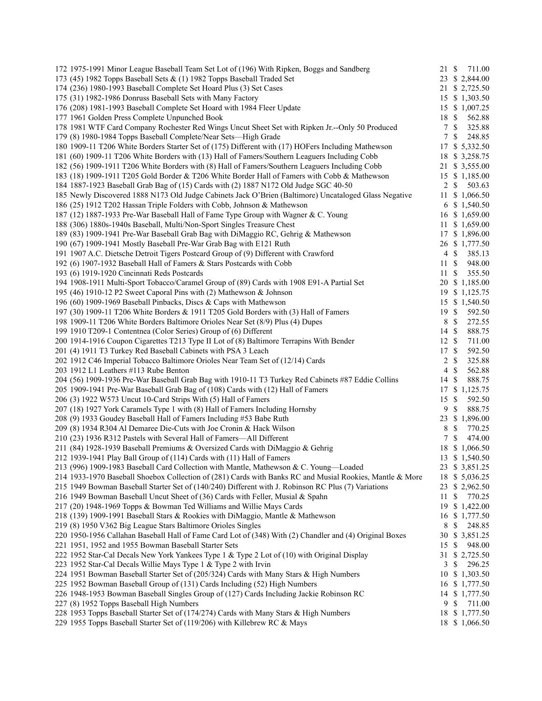| 172 1975-1991 Minor League Baseball Team Set Lot of (196) With Ripken, Boggs and Sandberg                | 21 \$            |               | 711.00         |
|----------------------------------------------------------------------------------------------------------|------------------|---------------|----------------|
| 173 (45) 1982 Topps Baseball Sets & (1) 1982 Topps Baseball Traded Set                                   |                  |               | 23 \$ 2,844.00 |
| 174 (236) 1980-1993 Baseball Complete Set Hoard Plus (3) Set Cases                                       |                  |               | 21 \$ 2,725.50 |
| 175 (31) 1982-1986 Donruss Baseball Sets with Many Factory                                               |                  |               | 15 \$ 1,303.50 |
| 176 (208) 1981-1993 Baseball Complete Set Hoard with 1984 Fleer Update                                   |                  |               | 15 \$ 1,007.25 |
| 177 1961 Golden Press Complete Unpunched Book                                                            | 18 \$            |               | 562.88         |
| 178 1981 WTF Card Company Rochester Red Wings Uncut Sheet Set with Ripken Jr.--Only 50 Produced          | 7S               |               | 325.88         |
| 179 (8) 1980-1984 Topps Baseball Complete/Near Sets-High Grade                                           | 7                | $\mathbb{S}$  | 248.85         |
| 180 1909-11 T206 White Borders Starter Set of (175) Different with (17) HOFers Including Mathewson       |                  |               | 17 \$ 5,332.50 |
| 181 (60) 1909-11 T206 White Borders with (13) Hall of Famers/Southern Leaguers Including Cobb            |                  |               | 18 \$ 3,258.75 |
| 182 (56) 1909-1911 T206 White Borders with (8) Hall of Famers/Southern Leaguers Including Cobb           |                  |               | 21 \$ 3,555.00 |
| 183 (18) 1909-1911 T205 Gold Border & T206 White Border Hall of Famers with Cobb & Mathewson             |                  |               | 15 \$ 1,185.00 |
| 184 1887-1923 Baseball Grab Bag of (15) Cards with (2) 1887 N172 Old Judge SGC 40-50                     |                  | $2 \sqrt{s}$  | 503.63         |
| 185 Newly Discovered 1888 N173 Old Judge Cabinets Jack O'Brien (Baltimore) Uncataloged Glass Negative    |                  |               | 11 \$ 1,066.50 |
| 186 (25) 1912 T202 Hassan Triple Folders with Cobb, Johnson & Mathewson                                  |                  |               | 6 \$ 1,540.50  |
| 187 (12) 1887-1933 Pre-War Baseball Hall of Fame Type Group with Wagner & C. Young                       |                  |               | 16 \$ 1,659.00 |
|                                                                                                          |                  |               |                |
| 188 (306) 1880s-1940s Baseball, Multi/Non-Sport Singles Treasure Chest                                   |                  |               | 11 \$ 1,659.00 |
| 189 (83) 1909-1941 Pre-War Baseball Grab Bag with DiMaggio RC, Gehrig & Mathewson                        |                  |               | 17 \$ 1,896.00 |
| 190 (67) 1909-1941 Mostly Baseball Pre-War Grab Bag with E121 Ruth                                       |                  |               | 26 \$ 1,777.50 |
| 191 1907 A.C. Dietsche Detroit Tigers Postcard Group of (9) Different with Crawford                      |                  | 4S            | 385.13         |
| 192 (6) 1907-1932 Baseball Hall of Famers & Stars Postcards with Cobb                                    | 11S              |               | 948.00         |
| 193 (6) 1919-1920 Cincinnati Reds Postcards                                                              | 11S              |               | 355.50         |
| 194 1908-1911 Multi-Sport Tobacco/Caramel Group of (89) Cards with 1908 E91-A Partial Set                |                  |               | 20 \$ 1,185.00 |
| 195 (46) 1910-12 P2 Sweet Caporal Pins with (2) Mathewson & Johnson                                      |                  |               | 19 \$ 1,125.75 |
| 196 (60) 1909-1969 Baseball Pinbacks, Discs & Caps with Mathewson                                        |                  |               | 15 \$ 1,540.50 |
| 197 (30) 1909-11 T206 White Borders & 1911 T205 Gold Borders with (3) Hall of Famers                     | $19 \text{ }$ \$ |               | 592.50         |
| 198 1909-11 T206 White Borders Baltimore Orioles Near Set (8/9) Plus (4) Dupes                           | 8                | $\mathbb{S}$  | 272.55         |
| 199 1910 T209-1 Contentnea (Color Series) Group of (6) Different                                         | 14 \$            |               | 888.75         |
| 200 1914-1916 Coupon Cigarettes T213 Type II Lot of (8) Baltimore Terrapins With Bender                  | 12S              |               | 711.00         |
| 201 (4) 1911 T3 Turkey Red Baseball Cabinets with PSA 3 Leach                                            | 17 \$            |               | 592.50         |
| 202 1912 C46 Imperial Tobacco Baltimore Orioles Near Team Set of (12/14) Cards                           | $\overline{c}$   | $\mathcal{S}$ | 325.88         |
| 203 1912 L1 Leathers #113 Rube Benton                                                                    | $\overline{4}$   | $\mathbb{S}$  | 562.88         |
| 204 (56) 1909-1936 Pre-War Baseball Grab Bag with 1910-11 T3 Turkey Red Cabinets #87 Eddie Collins       | 14               | -\$           | 888.75         |
| 205 1909-1941 Pre-War Baseball Grab Bag of (108) Cards with (12) Hall of Famers                          |                  |               | 17 \$ 1,125.75 |
| 206 (3) 1922 W573 Uncut 10-Card Strips With (5) Hall of Famers                                           | 15               | $\mathbb{S}$  | 592.50         |
| 207 (18) 1927 York Caramels Type 1 with (8) Hall of Famers Including Hornsby                             | 9                | $\mathbb{S}$  | 888.75         |
| 208 (9) 1933 Goudey Baseball Hall of Famers Including #53 Babe Ruth                                      |                  |               | 23 \$ 1,896.00 |
| 209 (8) 1934 R304 Al Demaree Die-Cuts with Joe Cronin & Hack Wilson                                      | 8                | $\mathbb{S}$  | 770.25         |
| 210 (23) 1936 R312 Pastels with Several Hall of Famers-All Different                                     | $\tau$           | $\mathcal{S}$ | 474.00         |
| 211 (84) 1928-1939 Baseball Premiums & Oversized Cards with DiMaggio & Gehrig                            |                  |               | 18 \$ 1,066.50 |
| 212 1939-1941 Play Ball Group of (114) Cards with (11) Hall of Famers                                    |                  |               | 13 \$ 1,540.50 |
| 213 (996) 1909-1983 Baseball Card Collection with Mantle, Mathewson & C. Young-Loaded                    |                  |               | 23 \$ 3,851.25 |
| 214 1933-1970 Baseball Shoebox Collection of (281) Cards with Banks RC and Musial Rookies, Mantle & More |                  |               |                |
|                                                                                                          |                  |               | 18 \$ 5,036.25 |
| 215 1949 Bowman Baseball Starter Set of (140/240) Different with J. Robinson RC Plus (7) Variations      |                  |               | 23 \$ 2,962.50 |
| 216 1949 Bowman Baseball Uncut Sheet of (36) Cards with Feller, Musial & Spahn                           | 11               | -S            | 770.25         |
| 217 (20) 1948-1969 Topps & Bowman Ted Williams and Willie Mays Cards                                     |                  |               | 19 \$ 1,422.00 |
| 218 (139) 1909-1991 Baseball Stars & Rookies with DiMaggio, Mantle & Mathewson                           |                  |               | 16 \$ 1,777.50 |
| 219 (8) 1950 V362 Big League Stars Baltimore Orioles Singles                                             | 8                | $\mathbb{S}$  | 248.85         |
| 220 1950-1956 Callahan Baseball Hall of Fame Card Lot of (348) With (2) Chandler and (4) Original Boxes  | 30               |               | \$3,851.25     |
| 221 1951, 1952 and 1955 Bowman Baseball Starter Sets                                                     | 15               | -S            | 948.00         |
| 222 1952 Star-Cal Decals New York Yankees Type 1 & Type 2 Lot of (10) with Original Display              | 31               |               | \$2,725.50     |
| 223 1952 Star-Cal Decals Willie Mays Type 1 & Type 2 with Irvin                                          | 3                | \$            | 296.25         |
| 224 1951 Bowman Baseball Starter Set of (205/324) Cards with Many Stars & High Numbers                   |                  |               | 10 \$ 1,303.50 |
| 225 1952 Bowman Baseball Group of (131) Cards Including (52) High Numbers                                |                  |               | 16 \$ 1,777.50 |
| 226 1948-1953 Bowman Baseball Singles Group of (127) Cards Including Jackie Robinson RC                  |                  |               | 14 \$ 1,777.50 |
| 227 (8) 1952 Topps Baseball High Numbers                                                                 | 9                | -\$           | 711.00         |
| 228 1953 Topps Baseball Starter Set of (174/274) Cards with Many Stars & High Numbers                    |                  |               | 18 \$ 1,777.50 |
| 229 1955 Topps Baseball Starter Set of (119/206) with Killebrew RC & Mays                                |                  |               | 18 \$ 1,066.50 |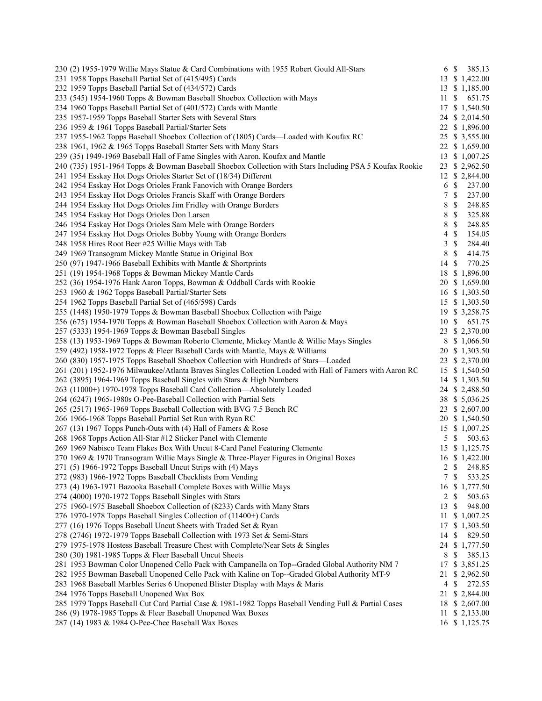| 230 (2) 1955-1979 Willie Mays Statue & Card Combinations with 1955 Robert Gould All-Stars                | 6 \$            |                           | 385.13 |
|----------------------------------------------------------------------------------------------------------|-----------------|---------------------------|--------|
| 231 1958 Topps Baseball Partial Set of (415/495) Cards                                                   |                 | 13 \$ 1,422.00            |        |
| 232 1959 Topps Baseball Partial Set of (434/572) Cards                                                   |                 | 13 \$ 1,185.00            |        |
| 233 (545) 1954-1960 Topps & Bowman Baseball Shoebox Collection with Mays                                 | 11              | -S                        | 651.75 |
| 234 1960 Topps Baseball Partial Set of (401/572) Cards with Mantle                                       |                 | 17 \$ 1,540.50            |        |
| 235 1957-1959 Topps Baseball Starter Sets with Several Stars                                             |                 | 24 \$ 2,014.50            |        |
| 236 1959 & 1961 Topps Baseball Partial/Starter Sets                                                      |                 | 22 \$ 1,896.00            |        |
| 237 1955-1962 Topps Baseball Shoebox Collection of (1805) Cards—Loaded with Koufax RC                    |                 | 25 \$ 3,555.00            |        |
| 238 1961, 1962 & 1965 Topps Baseball Starter Sets with Many Stars                                        |                 | 22 \$ 1,659.00            |        |
| 239 (35) 1949-1969 Baseball Hall of Fame Singles with Aaron, Koufax and Mantle                           |                 | 13 \$ 1,007.25            |        |
| 240 (735) 1951-1964 Topps & Bowman Baseball Shoebox Collection with Stars Including PSA 5 Koufax Rookie  |                 | 23 \$ 2,962.50            |        |
| 241 1954 Esskay Hot Dogs Orioles Starter Set of (18/34) Different                                        |                 | 12 \$ 2,844.00            |        |
| 242 1954 Esskay Hot Dogs Orioles Frank Fanovich with Orange Borders                                      | 6               | $\mathbb{S}$              | 237.00 |
| 243 1954 Esskay Hot Dogs Orioles Francis Skaff with Orange Borders                                       | $\tau$          | $\mathcal{S}$             | 237.00 |
| 244 1954 Esskay Hot Dogs Orioles Jim Fridley with Orange Borders                                         | 8               | $\mathbb{S}$              | 248.85 |
| 245 1954 Esskay Hot Dogs Orioles Don Larsen                                                              | 8               | $\mathbb{S}$              | 325.88 |
| 246 1954 Esskay Hot Dogs Orioles Sam Mele with Orange Borders                                            | 8               | $\mathcal{S}$             | 248.85 |
| 247 1954 Esskay Hot Dogs Orioles Bobby Young with Orange Borders                                         | $\overline{4}$  | $\mathbb{S}$              | 154.05 |
| 248 1958 Hires Root Beer #25 Willie Mays with Tab                                                        | 3               | $\mathcal{S}$             | 284.40 |
| 249 1969 Transogram Mickey Mantle Statue in Original Box                                                 | 8               | $\mathcal{S}$             | 414.75 |
| 250 (97) 1947-1966 Baseball Exhibits with Mantle & Shortprints                                           | 14S             |                           | 770.25 |
| 251 (19) 1954-1968 Topps & Bowman Mickey Mantle Cards                                                    |                 | 18 \$ 1,896.00            |        |
| 252 (36) 1954-1976 Hank Aaron Topps, Bowman & Oddball Cards with Rookie                                  |                 | 20 \$ 1,659.00            |        |
| 253 1960 & 1962 Topps Baseball Partial/Starter Sets                                                      |                 | 16 \$ 1,303.50            |        |
| 254 1962 Topps Baseball Partial Set of (465/598) Cards                                                   |                 | 15 \$ 1,303.50            |        |
| 255 (1448) 1950-1979 Topps & Bowman Baseball Shoebox Collection with Paige                               |                 | 19 \$ 3,258.75            |        |
| 256 (675) 1954-1970 Topps & Bowman Baseball Shoebox Collection with Aaron & Mays                         | 10S             |                           | 651.75 |
| 257 (5333) 1954-1969 Topps & Bowman Baseball Singles                                                     |                 | 23 \$ 2,370.00            |        |
| 258 (13) 1953-1969 Topps & Bowman Roberto Clemente, Mickey Mantle & Willie Mays Singles                  |                 | 8 \$ 1,066.50             |        |
| 259 (492) 1958-1972 Topps & Fleer Baseball Cards with Mantle, Mays & Williams                            |                 | 20 \$ 1,303.50            |        |
| 260 (830) 1957-1975 Topps Baseball Shoebox Collection with Hundreds of Stars-Loaded                      |                 | 23 \$ 2,370.00            |        |
| 261 (201) 1952-1976 Milwaukee/Atlanta Braves Singles Collection Loaded with Hall of Famers with Aaron RC |                 | 15 \$ 1,540.50            |        |
| 262 (3895) 1964-1969 Topps Baseball Singles with Stars & High Numbers                                    |                 | 14 \$ 1,303.50            |        |
| 263 (11000+) 1970-1978 Topps Baseball Card Collection—Absolutely Loaded                                  |                 | 24 \$ 2,488.50            |        |
| 264 (6247) 1965-1980s O-Pee-Baseball Collection with Partial Sets                                        |                 | 38 \$ 5,036.25            |        |
| 265 (2517) 1965-1969 Topps Baseball Collection with BVG 7.5 Bench RC                                     |                 | 23 \$ 2,607.00            |        |
| 266 1966-1968 Topps Baseball Partial Set Run with Ryan RC                                                |                 | 20 \$ 1,540.50            |        |
| 267 (13) 1967 Topps Punch-Outs with (4) Hall of Famers & Rose                                            |                 | 15 \$ 1,007.25            |        |
| 268 1968 Topps Action All-Star #12 Sticker Panel with Clemente                                           | $5 \text{ }$ \$ |                           | 503.63 |
| 269 1969 Nabisco Team Flakes Box With Uncut 8-Card Panel Featuring Clemente                              |                 | 15 \$ 1,125.75            |        |
| 270 1969 & 1970 Transogram Willie Mays Single & Three-Player Figures in Original Boxes                   |                 | 16 \$ 1,422.00            |        |
| 271 (5) 1966-1972 Topps Baseball Uncut Strips with (4) Mays                                              | 2               | $\mathbb{S}$              | 248.85 |
| 272 (983) 1966-1972 Topps Baseball Checklists from Vending                                               | 7               | $\mathbb{S}$              | 533.25 |
| 273 (4) 1963-1971 Bazooka Baseball Complete Boxes with Willie Mays                                       |                 | 16 \$ 1,777.50            |        |
| 274 (4000) 1970-1972 Topps Baseball Singles with Stars                                                   | 2               | -S                        | 503.63 |
| 275 1960-1975 Baseball Shoebox Collection of (8233) Cards with Many Stars                                | 13              | $\boldsymbol{\mathsf{S}}$ | 948.00 |
| 276 1970-1978 Topps Baseball Singles Collection of (11400+) Cards                                        |                 | 11 \$ 1,007.25            |        |
| 277 (16) 1976 Topps Baseball Uncut Sheets with Traded Set & Ryan                                         |                 | 17 \$ 1,303.50            |        |
| 278 (2746) 1972-1979 Topps Baseball Collection with 1973 Set & Semi-Stars                                | 14              | \$                        | 829.50 |
| 279 1975-1978 Hostess Baseball Treasure Chest with Complete/Near Sets & Singles                          |                 | 24 \$ 1,777.50            |        |
| 280 (30) 1981-1985 Topps & Fleer Baseball Uncut Sheets                                                   | 8               | \$                        | 385.13 |
| 281 1953 Bowman Color Unopened Cello Pack with Campanella on Top--Graded Global Authority NM 7           | 17              | \$ 3,851.25               |        |
| 282 1955 Bowman Baseball Unopened Cello Pack with Kaline on Top--Graded Global Authority MT-9            | 21              | \$2,962.50                |        |
| 283 1968 Baseball Marbles Series 6 Unopened Blister Display with Mays & Maris                            | $\overline{4}$  | $\mathbb{S}$              | 272.55 |
| 284 1976 Topps Baseball Unopened Wax Box                                                                 |                 | 21 \$ 2,844.00            |        |
| 285 1979 Topps Baseball Cut Card Partial Case & 1981-1982 Topps Baseball Vending Full & Partial Cases    |                 | 18 \$ 2,607.00            |        |
| 286 (9) 1978-1985 Topps & Fleer Baseball Unopened Wax Boxes                                              |                 | 11 \$ 2,133.00            |        |
| 287 (14) 1983 & 1984 O-Pee-Chee Baseball Wax Boxes                                                       |                 | 16 \$ 1,125.75            |        |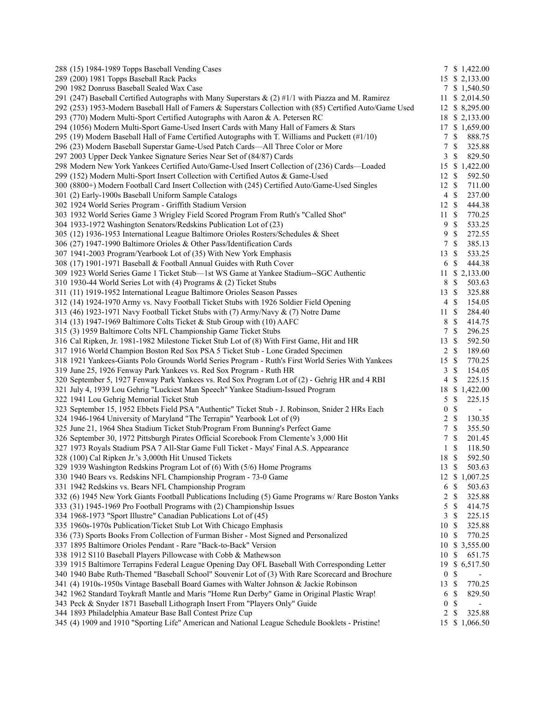| 288 (15) 1984-1989 Topps Baseball Vending Cases                                                          |                  |                           | 7 \$ 1,422.00            |
|----------------------------------------------------------------------------------------------------------|------------------|---------------------------|--------------------------|
| 289 (200) 1981 Topps Baseball Rack Packs                                                                 |                  |                           | 15 \$ 2,133.00           |
| 290 1982 Donruss Baseball Sealed Wax Case                                                                |                  |                           | 7 \$ 1,540.50            |
| 291 (247) Baseball Certified Autographs with Many Superstars $\&$ (2) #1/1 with Piazza and M. Ramirez    |                  |                           | 11 \$ 2,014.50           |
| 292 (253) 1953-Modern Baseball Hall of Famers & Superstars Collection with (85) Certified Auto/Game Used |                  |                           | 12 \$ 8,295.00           |
| 293 (770) Modern Multi-Sport Certified Autographs with Aaron & A. Petersen RC                            |                  |                           | 18 \$ 2,133.00           |
| 294 (1056) Modern Multi-Sport Game-Used Insert Cards with Many Hall of Famers & Stars                    |                  |                           | 17 \$ 1,659.00           |
| 295 (19) Modern Baseball Hall of Fame Certified Autographs with T. Williams and Puckett (#1/10)          | $\tau$           | $\mathbb S$               | 888.75                   |
| 296 (23) Modern Baseball Superstar Game-Used Patch Cards—All Three Color or More                         | 7                | $\mathbb S$               | 325.88                   |
| 297 2003 Upper Deck Yankee Signature Series Near Set of (84/87) Cards                                    | 3                | $\mathbb{S}$              | 829.50                   |
| 298 Modern New York Yankees Certified Auto/Game-Used Insert Collection of (236) Cards—Loaded             | 15               |                           | \$1,422.00               |
| 299 (152) Modern Multi-Sport Insert Collection with Certified Autos & Game-Used                          | 12S              |                           | 592.50                   |
| 300 (8800+) Modern Football Card Insert Collection with (245) Certified Auto/Game-Used Singles           | 12S              |                           | 711.00                   |
| 301 (2) Early-1900s Baseball Uniform Sample Catalogs                                                     |                  | $4 \text{ } $$            | 237.00                   |
| 302 1924 World Series Program - Griffith Stadium Version                                                 | 12S              |                           | 444.38                   |
| 303 1932 World Series Game 3 Wrigley Field Scored Program From Ruth's "Called Shot"                      | 11S              |                           | 770.25                   |
| 304 1933-1972 Washington Senators/Redskins Publication Lot of (23)                                       | 9                | $\mathbb{S}$              | 533.25                   |
| 305 (12) 1936-1953 International League Baltimore Orioles Rosters/Schedules & Sheet                      | 9                | $\mathbb{S}$              | 272.55                   |
| 306 (27) 1947-1990 Baltimore Orioles & Other Pass/Identification Cards                                   | 7                | $\mathbb{S}$              | 385.13                   |
| 307 1941-2003 Program/Yearbook Lot of (35) With New York Emphasis                                        | 13               | -S                        | 533.25                   |
| 308 (17) 1901-1971 Baseball & Football Annual Guides with Ruth Cover                                     | 6                | $\mathcal{S}$             | 444.38                   |
| 309 1923 World Series Game 1 Ticket Stub-1st WS Game at Yankee Stadium--SGC Authentic                    |                  |                           | 11 \$ 2,133.00           |
| 310 1930-44 World Series Lot with (4) Programs & (2) Ticket Stubs                                        | 8                | $\mathbb{S}$              | 503.63                   |
| 311 (11) 1919-1952 International League Baltimore Orioles Season Passes                                  | 13S              |                           | 325.88                   |
| 312 (14) 1924-1970 Army vs. Navy Football Ticket Stubs with 1926 Soldier Field Opening                   | $\overline{4}$   | $\mathcal{S}$             | 154.05                   |
| 313 (46) 1923-1971 Navy Football Ticket Stubs with (7) Army/Navy & (7) Notre Dame                        | 11S              |                           | 284.40                   |
| 314 (13) 1947-1969 Baltimore Colts Ticket & Stub Group with (10) AAFC                                    | 8                | $\mathbb{S}$              | 414.75                   |
| 315 (3) 1959 Baltimore Colts NFL Championship Game Ticket Stubs                                          | 7                | $\mathbb{S}$              | 296.25                   |
| 316 Cal Ripken, Jr. 1981-1982 Milestone Ticket Stub Lot of (8) With First Game, Hit and HR               | 13               | $\mathcal{S}$             | 592.50                   |
| 317 1916 World Champion Boston Red Sox PSA 5 Ticket Stub - Lone Graded Specimen                          |                  | $2 \sqrt{s}$              | 189.60                   |
| 318 1921 Yankees-Giants Polo Grounds World Series Program - Ruth's First World Series With Yankees       | 15               | $\mathbb{S}$              | 770.25                   |
| 319 June 25, 1926 Fenway Park Yankees vs. Red Sox Program - Ruth HR                                      | $\mathfrak{Z}$   | $\mathbb{S}$              | 154.05                   |
| 320 September 5, 1927 Fenway Park Yankees vs. Red Sox Program Lot of (2) - Gehrig HR and 4 RBI           | 4                | $\mathbb{S}$              | 225.15                   |
| 321 July 4, 1939 Lou Gehrig "Luckiest Man Speech" Yankee Stadium-Issued Program                          | 18               |                           | \$1,422.00               |
| 322 1941 Lou Gehrig Memorial Ticket Stub                                                                 | 5                | $\mathbb{S}$              | 225.15                   |
| 323 September 15, 1952 Ebbets Field PSA "Authentic" Ticket Stub - J. Robinson, Snider 2 HRs Each         | $\boldsymbol{0}$ | $\mathbb{S}$              | $\blacksquare$           |
| 324 1946-1964 University of Maryland "The Terrapin" Yearbook Lot of (9)                                  | $\overline{2}$   | $\mathbb{S}$              | 130.35                   |
| 325 June 21, 1964 Shea Stadium Ticket Stub/Program From Bunning's Perfect Game                           | $\tau$           | $\mathbb{S}$              | 355.50                   |
| 326 September 30, 1972 Pittsburgh Pirates Official Scorebook From Clemente's 3,000 Hit                   | $\tau$           | $\mathbb{S}$              | 201.45                   |
| 327 1973 Royals Stadium PSA 7 All-Star Game Full Ticket - Mays' Final A.S. Appearance                    | 1                | \$                        | 118.50                   |
| 328 (100) Cal Ripken Jr.'s 3,000th Hit Unused Tickets                                                    | 18               | $\mathcal{S}$             | 592.50                   |
| 329 1939 Washington Redskins Program Lot of (6) With (5/6) Home Programs                                 | 13S              |                           | 503.63                   |
| 330 1940 Bears vs. Redskins NFL Championship Program - 73-0 Game                                         |                  |                           | 12 \$ 1,007.25           |
| 331 1942 Redskins vs. Bears NFL Championship Program                                                     | 6                | $\mathbb{S}$              | 503.63                   |
| 332 (6) 1945 New York Giants Football Publications Including (5) Game Programs w/ Rare Boston Yanks      | 2                | \$                        | 325.88                   |
| 333 (31) 1945-1969 Pro Football Programs with (2) Championship Issues                                    | 5                | \$                        | 414.75                   |
| 334 1968-1973 "Sport Illustre" Canadian Publications Lot of (45)                                         | 3                | $\boldsymbol{\mathsf{S}}$ | 225.15                   |
| 335 1960s-1970s Publication/Ticket Stub Lot With Chicago Emphasis                                        | 10S              |                           | 325.88                   |
| 336 (73) Sports Books From Collection of Furman Bisher - Most Signed and Personalized                    | 10               | -\$                       | 770.25                   |
| 337 1895 Baltimore Orioles Pendant - Rare "Back-to-Back" Version                                         | 10               |                           | \$3,555.00               |
| 338 1912 S110 Baseball Players Pillowcase with Cobb & Mathewson                                          | 10               | $\boldsymbol{\mathsf{S}}$ | 651.75                   |
| 339 1915 Baltimore Terrapins Federal League Opening Day OFL Baseball With Corresponding Letter           | 19               |                           | \$6,517.50               |
| 340 1940 Babe Ruth-Themed "Baseball School" Souvenir Lot of (3) With Rare Scorecard and Brochure         | $\boldsymbol{0}$ | $\mathbb{S}$              |                          |
| 341 (4) 1910s-1950s Vintage Baseball Board Games with Walter Johnson & Jackie Robinson                   | 13               | $\mathbb{S}$              | 770.25                   |
| 342 1962 Standard Toykraft Mantle and Maris "Home Run Derby" Game in Original Plastic Wrap!              | 6                | $\mathcal{S}$             | 829.50                   |
| 343 Peck & Snyder 1871 Baseball Lithograph Insert From "Players Only" Guide                              | $\boldsymbol{0}$ | $\mathbb{S}$              | $\overline{\phantom{0}}$ |
| 344 1893 Philadelphia Amateur Base Ball Contest Prize Cup                                                | 2                | $\boldsymbol{\mathsf{S}}$ | 325.88                   |
| 345 (4) 1909 and 1910 "Sporting Life" American and National League Schedule Booklets - Pristine!         |                  |                           | 15 \$ 1,066.50           |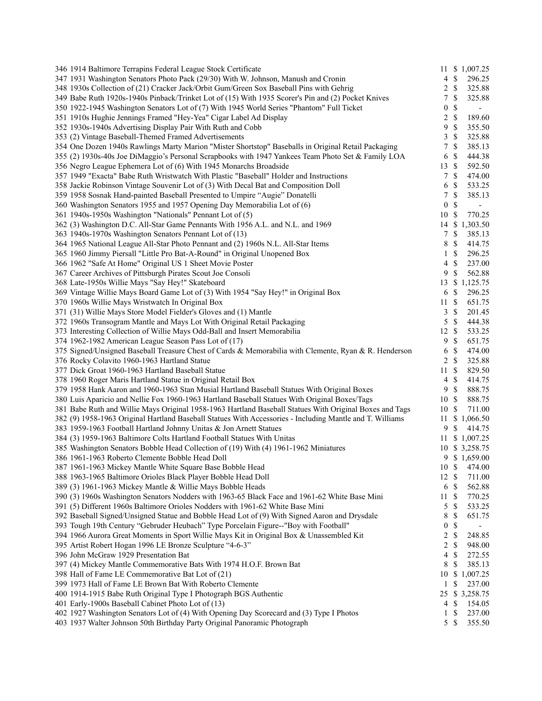| 346 1914 Baltimore Terrapins Federal League Stock Certificate                                            |                  |                           | 11 \$ 1,007.25           |
|----------------------------------------------------------------------------------------------------------|------------------|---------------------------|--------------------------|
| 347 1931 Washington Senators Photo Pack (29/30) With W. Johnson, Manush and Cronin                       |                  | 4S                        | 296.25                   |
| 348 1930s Collection of (21) Cracker Jack/Orbit Gum/Green Sox Baseball Pins with Gehrig                  | 2                | $\mathbb{S}$              | 325.88                   |
| 349 Babe Ruth 1920s-1940s Pinback/Trinket Lot of (15) With 1935 Scorer's Pin and (2) Pocket Knives       | 7                | $\mathbb{S}$              | 325.88                   |
| 350 1922-1945 Washington Senators Lot of (7) With 1945 World Series "Phantom" Full Ticket                | $\boldsymbol{0}$ | $\mathbb{S}$              | $\blacksquare$           |
| 351 1910s Hughie Jennings Framed "Hey-Yea" Cigar Label Ad Display                                        | $\overline{c}$   | $\mathbb{S}$              | 189.60                   |
| 352 1930s-1940s Advertising Display Pair With Ruth and Cobb                                              | 9                | $\mathbb{S}$              | 355.50                   |
| 353 (2) Vintage Baseball-Themed Framed Advertisements                                                    | 3                | $\mathbb S$               | 325.88                   |
| 354 One Dozen 1940s Rawlings Marty Marion "Mister Shortstop" Baseballs in Original Retail Packaging      | 7                | $\mathbb{S}$              | 385.13                   |
| 355 (2) 1930s-40s Joe DiMaggio's Personal Scrapbooks with 1947 Yankees Team Photo Set & Family LOA       | 6                | $\mathbb{S}$              | 444.38                   |
| 356 Negro League Ephemera Lot of (6) With 1945 Monarchs Broadside                                        | 13               | - \$                      | 592.50                   |
| 357 1949 "Exacta" Babe Ruth Wristwatch With Plastic "Baseball" Holder and Instructions                   | $\tau$           | $\mathbb{S}$              | 474.00                   |
| 358 Jackie Robinson Vintage Souvenir Lot of (3) With Decal Bat and Composition Doll                      | 6                | $\mathbb{S}$              | 533.25                   |
| 359 1958 Sosnak Hand-painted Baseball Presented to Umpire "Augie" Donatelli                              | 7                | $\mathbb{S}$              | 385.13                   |
| 360 Washington Senators 1955 and 1957 Opening Day Memorabilia Lot of (6)                                 | $\boldsymbol{0}$ | $\mathbb{S}$              | $\overline{\phantom{0}}$ |
| 361 1940s-1950s Washington "Nationals" Pennant Lot of (5)                                                | 10S              |                           | 770.25                   |
| 362 (3) Washington D.C. All-Star Game Pennants With 1956 A.L. and N.L. and 1969                          |                  |                           | 14 \$ 1,303.50           |
| 363 1940s-1970s Washington Senators Pennant Lot of (13)                                                  | $\tau$           | $\mathbb{S}$              | 385.13                   |
| 364 1965 National League All-Star Photo Pennant and (2) 1960s N.L. All-Star Items                        | 8                | $\mathbb{S}$              | 414.75                   |
| 365 1960 Jimmy Piersall "Little Pro Bat-A-Round" in Original Unopened Box                                | $\mathbf{1}$     | $\mathbb{S}$              | 296.25                   |
| 366 1962 "Safe At Home" Original US 1 Sheet Movie Poster                                                 | $\overline{4}$   | $\mathbb{S}$              | 237.00                   |
| 367 Career Archives of Pittsburgh Pirates Scout Joe Consoli                                              | 9                | $\mathbb{S}$              | 562.88                   |
| 368 Late-1950s Willie Mays "Say Hey!" Skateboard                                                         |                  |                           | 13 \$ 1,125.75           |
| 369 Vintage Willie Mays Board Game Lot of (3) With 1954 "Say Hey!" in Original Box                       | 6 <sup>°</sup>   |                           | 296.25                   |
| 370 1960s Willie Mays Wristwatch In Original Box                                                         | 11S              |                           | 651.75                   |
| 371 (31) Willie Mays Store Model Fielder's Gloves and (1) Mantle                                         | 3                | $\mathcal{S}$             | 201.45                   |
| 372 1960s Transogram Mantle and Mays Lot With Original Retail Packaging                                  | 5                | $\mathbb{S}$              | 444.38                   |
| 373 Interesting Collection of Willie Mays Odd-Ball and Insert Memorabilia                                | 12S              |                           | 533.25                   |
| 374 1962-1982 American League Season Pass Lot of (17)                                                    | 9                | $\mathbb{S}$              | 651.75                   |
| 375 Signed/Unsigned Baseball Treasure Chest of Cards & Memorabilia with Clemente, Ryan & R. Henderson    | 6                | $\mathbb{S}$              | 474.00                   |
| 376 Rocky Colavito 1960-1963 Hartland Statue                                                             | 2                | $\mathbb{S}$              | 325.88                   |
| 377 Dick Groat 1960-1963 Hartland Baseball Statue                                                        | 11               | $\mathbb{S}$              | 829.50                   |
| 378 1960 Roger Maris Hartland Statue in Original Retail Box                                              | $\overline{4}$   | $\mathbb{S}$              | 414.75                   |
| 379 1958 Hank Aaron and 1960-1963 Stan Musial Hartland Baseball Statues With Original Boxes              | 9                | $\mathbb{S}$              | 888.75                   |
| 380 Luis Aparicio and Nellie Fox 1960-1963 Hartland Baseball Statues With Original Boxes/Tags            | 10S              |                           | 888.75                   |
| 381 Babe Ruth and Willie Mays Original 1958-1963 Hartland Baseball Statues With Original Boxes and Tags  | 10S              |                           | 711.00                   |
| 382 (9) 1958-1963 Original Hartland Baseball Statues With Accessories - Including Mantle and T. Williams |                  |                           | 11 \$ 1,066.50           |
| 383 1959-1963 Football Hartland Johnny Unitas & Jon Arnett Statues                                       | 9                | <sup>\$</sup>             | 414.75                   |
| 384 (3) 1959-1963 Baltimore Colts Hartland Football Statues With Unitas                                  |                  |                           | 11 \$ 1,007.25           |
| 385 Washington Senators Bobble Head Collection of (19) With (4) 1961-1962 Miniatures                     |                  |                           | 10 \$ 3,258.75           |
| 386 1961-1963 Roberto Clemente Bobble Head Doll                                                          |                  |                           | 9 \$ 1,659.00            |
| 387 1961-1963 Mickey Mantle White Square Base Bobble Head                                                | 10S              |                           | 474.00                   |
| 388 1963-1965 Baltimore Orioles Black Player Bobble Head Doll                                            | 12S              |                           | 711.00                   |
| 389 (3) 1961-1963 Mickey Mantle & Willie Mays Bobble Heads                                               | 6 <sup>°</sup>   |                           | 562.88                   |
| 390 (3) 1960s Washington Senators Nodders with 1963-65 Black Face and 1961-62 White Base Mini            | 11S              |                           | 770.25                   |
| 391 (5) Different 1960s Baltimore Orioles Nodders with 1961-62 White Base Mini                           | 5                | $\mathbb{S}$              | 533.25                   |
| 392 Baseball Signed/Unsigned Statue and Bobble Head Lot of (9) With Signed Aaron and Drysdale            | 8                | $\mathbb{S}$              | 651.75                   |
| 393 Tough 19th Century "Gebruder Heubach" Type Porcelain Figure--"Boy with Football"                     | 0                | $\mathbb{S}$              | $\overline{\phantom{0}}$ |
| 394 1966 Aurora Great Moments in Sport Willie Mays Kit in Original Box & Unassembled Kit                 | $\overline{c}$   | $\$$                      | 248.85                   |
| 395 Artist Robert Hogan 1996 LE Bronze Sculpture "4-6-3"                                                 | 2                | $\mathbb{S}$              | 948.00                   |
| 396 John McGraw 1929 Presentation Bat                                                                    | 4                | \$                        | 272.55                   |
| 397 (4) Mickey Mantle Commemorative Bats With 1974 H.O.F. Brown Bat                                      | 8                | \$                        | 385.13                   |
| 398 Hall of Fame LE Commemorative Bat Lot of (21)                                                        | 10               |                           | \$1,007.25               |
| 399 1973 Hall of Fame LE Brown Bat With Roberto Clemente                                                 | $\mathbf{1}$     | $\mathbb{S}$              | 237.00                   |
| 400 1914-1915 Babe Ruth Original Type I Photograph BGS Authentic                                         | 25               |                           | \$3,258.75               |
| 401 Early-1900s Baseball Cabinet Photo Lot of (13)                                                       | 4                | \$                        | 154.05                   |
| 402 1927 Washington Senators Lot of (4) With Opening Day Scorecard and (3) Type I Photos                 | 1                | $\boldsymbol{\mathsf{S}}$ | 237.00                   |
| 403 1937 Walter Johnson 50th Birthday Party Original Panoramic Photograph                                | 5 <sup>5</sup>   | $\boldsymbol{\mathsf{S}}$ | 355.50                   |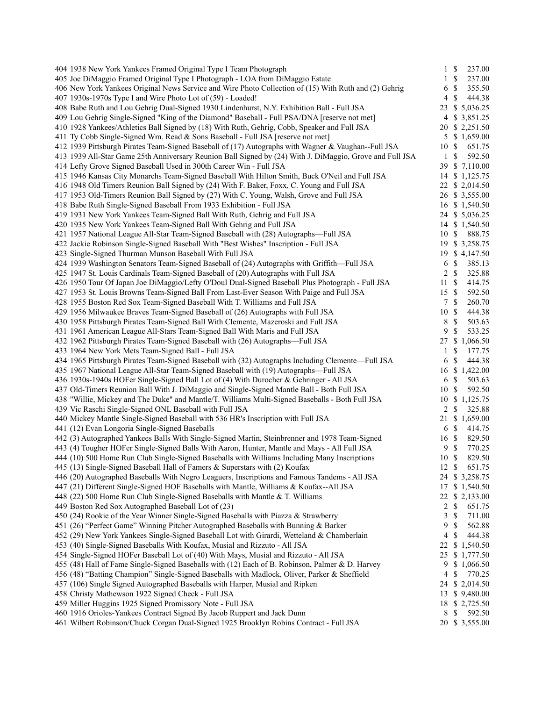| 404 1938 New York Yankees Framed Original Type I Team Photograph                                                                                           |               | $1 \text{ }$ | 237.00                   |
|------------------------------------------------------------------------------------------------------------------------------------------------------------|---------------|--------------|--------------------------|
| 405 Joe DiMaggio Framed Original Type I Photograph - LOA from DiMaggio Estate                                                                              | 1             | $\mathbb{S}$ | 237.00                   |
| 406 New York Yankees Original News Service and Wire Photo Collection of (15) With Ruth and (2) Gehrig                                                      | 6             | \$           | 355.50                   |
| 407 1930s-1970s Type I and Wire Photo Lot of (59) - Loaded!                                                                                                | 4             | \$           | 444.38                   |
| 408 Babe Ruth and Lou Gehrig Dual-Signed 1930 Lindenhurst, N.Y. Exhibition Ball - Full JSA                                                                 |               |              | 23 \$ 5,036.25           |
| 409 Lou Gehrig Single-Signed "King of the Diamond" Baseball - Full PSA/DNA [reserve not met]                                                               |               |              | 4 \$ 3,851.25            |
| 410 1928 Yankees/Athletics Ball Signed by (18) With Ruth, Gehrig, Cobb, Speaker and Full JSA                                                               |               |              | 20 \$ 2,251.50           |
| 411 Ty Cobb Single-Signed Wm. Read & Sons Baseball - Full JSA [reserve not met]                                                                            |               |              | 5 \$ 1,659.00            |
| 412 1939 Pittsburgh Pirates Team-Signed Baseball of (17) Autographs with Wagner & Vaughan--Full JSA                                                        | 10S           |              | 651.75                   |
| 413 1939 All-Star Game 25th Anniversary Reunion Ball Signed by (24) With J. DiMaggio, Grove and Full JSA                                                   | $\mathbf{1}$  | \$           | 592.50                   |
| 414 Lefty Grove Signed Baseball Used in 300th Career Win - Full JSA                                                                                        |               |              | 39 \$ 7,110.00           |
| 415 1946 Kansas City Monarchs Team-Signed Baseball With Hilton Smith, Buck O'Neil and Full JSA                                                             |               |              | 14 \$ 1,125.75           |
| 416 1948 Old Timers Reunion Ball Signed by (24) With F. Baker, Foxx, C. Young and Full JSA                                                                 |               |              | 22 \$ 2,014.50           |
| 417 1953 Old-Timers Reunion Ball Signed by (27) With C. Young, Walsh, Grove and Full JSA                                                                   |               |              | 26 \$ 3,555.00           |
| 418 Babe Ruth Single-Signed Baseball From 1933 Exhibition - Full JSA                                                                                       |               |              | 16 \$ 1,540.50           |
| 419 1931 New York Yankees Team-Signed Ball With Ruth, Gehrig and Full JSA                                                                                  |               |              | 24 \$ 5,036.25           |
| 420 1935 New York Yankees Team-Signed Ball With Gehrig and Full JSA                                                                                        |               |              | 14 \$ 1,540.50           |
| 421 1957 National League All-Star Team-Signed Baseball with (28) Autographs—Full JSA                                                                       | 10S           |              | 888.75                   |
| 422 Jackie Robinson Single-Signed Baseball With "Best Wishes" Inscription - Full JSA                                                                       | 19            |              | \$3,258.75               |
| 423 Single-Signed Thurman Munson Baseball With Full JSA                                                                                                    |               |              | 19 \$ 4,147.50           |
| 424 1939 Washington Senators Team-Signed Baseball of (24) Autographs with Griffith—Full JSA                                                                | 6             | \$           | 385.13                   |
| 425 1947 St. Louis Cardinals Team-Signed Baseball of (20) Autographs with Full JSA                                                                         | 2             | $\mathbb{S}$ | 325.88                   |
| 426 1950 Tour Of Japan Joe DiMaggio/Lefty O'Doul Dual-Signed Baseball Plus Photograph - Full JSA                                                           | 11S           |              | 414.75                   |
| 427 1953 St. Louis Browns Team-Signed Ball From Last-Ever Season With Paige and Full JSA                                                                   | 15 \$         |              | 592.50                   |
| 428 1955 Boston Red Sox Team-Signed Baseball With T. Williams and Full JSA                                                                                 | 7             | $\mathbb{S}$ | 260.70                   |
| 429 1956 Milwaukee Braves Team-Signed Baseball of (26) Autographs with Full JSA                                                                            | 10S           |              | 444.38                   |
| 430 1958 Pittsburgh Pirates Team-Signed Ball With Clemente, Mazeroski and Full JSA                                                                         | 8             | \$           | 503.63                   |
| 431 1961 American League All-Stars Team-Signed Ball With Maris and Full JSA                                                                                | 9             | \$           | 533.25                   |
| 432 1962 Pittsburgh Pirates Team-Signed Baseball with (26) Autographs-Full JSA                                                                             | 27            |              | \$1,066.50               |
| 433 1964 New York Mets Team-Signed Ball - Full JSA                                                                                                         | 1             | \$           | 177.75                   |
| 434 1965 Pittsburgh Pirates Team-Signed Baseball with (32) Autographs Including Clemente—Full JSA                                                          | 6             | \$           | 444.38                   |
| 435 1967 National League All-Star Team-Signed Baseball with (19) Autographs—Full JSA                                                                       |               |              |                          |
|                                                                                                                                                            |               |              | 16 \$ 1,422.00           |
| 436 1930s-1940s HOFer Single-Signed Ball Lot of (4) With Durocher & Gehringer - All JSA                                                                    | 6             | \$           | 503.63                   |
| 437 Old-Timers Reunion Ball With J. DiMaggio and Single-Signed Mantle Ball - Both Full JSA                                                                 | 10            | \$           | 592.50                   |
| 438 "Willie, Mickey and The Duke" and Mantle/T. Williams Multi-Signed Baseballs - Both Full JSA<br>439 Vic Raschi Single-Signed ONL Baseball with Full JSA | 2             | \$           | 10 \$ 1,125.75<br>325.88 |
| 440 Mickey Mantle Single-Signed Baseball with 536 HR's Inscription with Full JSA                                                                           |               |              |                          |
|                                                                                                                                                            | 21            |              | \$1,659.00               |
| 441 (12) Evan Longoria Single-Signed Baseballs<br>442 (3) Autographed Yankees Balls With Single-Signed Martin, Steinbrenner and 1978 Team-Signed           | 6 \$          |              | 414.75                   |
|                                                                                                                                                            | 16 \$         |              | 829.50                   |
| 443 (4) Tougher HOFer Single-Signed Balls With Aaron, Hunter, Mantle and Mays - All Full JSA                                                               | 9             | $\mathbb{S}$ | 770.25                   |
| 444 (10) 500 Home Run Club Single-Signed Baseballs with Williams Including Many Inscriptions                                                               | 10            | \$           | 829.50                   |
| 445 (13) Single-Signed Baseball Hall of Famers & Superstars with (2) Koufax                                                                                | $12 \text{ }$ |              | 651.75                   |
| 446 (20) Autographed Baseballs With Negro Leaguers, Inscriptions and Famous Tandems - All JSA                                                              |               |              | 24 \$ 3,258.75           |
| 447 (21) Different Single-Signed HOF Baseballs with Mantle, Williams & Koufax--All JSA                                                                     | 17            |              | \$1,540.50               |
| 448 (22) 500 Home Run Club Single-Signed Baseballs with Mantle & T. Williams                                                                               |               |              | 22 \$ 2,133.00           |
| 449 Boston Red Sox Autographed Baseball Lot of (23)                                                                                                        | 2             | \$           | 651.75                   |
| 450 (24) Rookie of the Year Winner Single-Signed Baseballs with Piazza & Strawberry                                                                        | 3             | \$           | 711.00                   |
| 451 (26) "Perfect Game" Winning Pitcher Autographed Baseballs with Bunning & Barker                                                                        | 9             | \$           | 562.88                   |
| 452 (29) New York Yankees Single-Signed Baseball Lot with Girardi, Wetteland & Chamberlain                                                                 | 4             | \$           | 444.38                   |
| 453 (40) Single-Signed Baseballs With Koufax, Musial and Rizzuto - All JSA                                                                                 | 22            |              | \$1,540.50               |
| 454 Single-Signed HOFer Baseball Lot of (40) With Mays, Musial and Rizzuto - All JSA                                                                       |               |              | 25 \$ 1,777.50           |
| 455 (48) Hall of Fame Single-Signed Baseballs with (12) Each of B. Robinson, Palmer & D. Harvey                                                            | 9             |              | \$1,066.50               |
| 456 (48) "Batting Champion" Single-Signed Baseballs with Madlock, Oliver, Parker & Sheffield                                                               | 4             | \$           | 770.25                   |
| 457 (106) Single Signed Autographed Baseballs with Harper, Musial and Ripken                                                                               |               |              | 24 \$ 2,014.50           |
| 458 Christy Mathewson 1922 Signed Check - Full JSA                                                                                                         |               |              | 13 \$ 9,480.00           |
| 459 Miller Huggins 1925 Signed Promissory Note - Full JSA                                                                                                  |               |              | 18 \$ 2,725.50           |
| 460 1916 Orioles-Yankees Contract Signed By Jacob Ruppert and Jack Dunn                                                                                    | 8             | \$           | 592.50                   |
| 461 Wilbert Robinson/Chuck Corgan Dual-Signed 1925 Brooklyn Robins Contract - Full JSA                                                                     |               |              | 20 \$ 3,555.00           |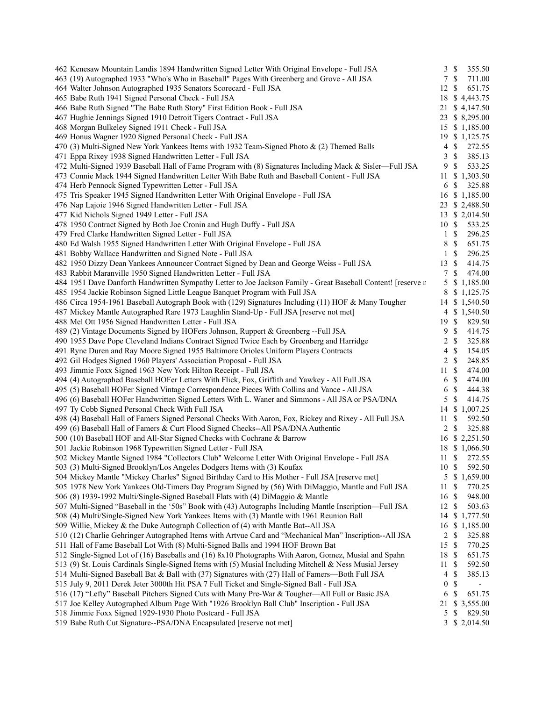| 462 Kenesaw Mountain Landis 1894 Handwritten Signed Letter With Original Envelope - Full JSA                  |                  | $3 \sqrt{3}$              | 355.50                   |
|---------------------------------------------------------------------------------------------------------------|------------------|---------------------------|--------------------------|
| 463 (19) Autographed 1933 "Who's Who in Baseball" Pages With Greenberg and Grove - All JSA                    |                  | 7S                        | 711.00                   |
| 464 Walter Johnson Autographed 1935 Senators Scorecard - Full JSA                                             | 12S              |                           | 651.75                   |
| 465 Babe Ruth 1941 Signed Personal Check - Full JSA                                                           |                  |                           | 18 \$4,443.75            |
| 466 Babe Ruth Signed "The Babe Ruth Story" First Edition Book - Full JSA                                      |                  |                           | 21 \$4,147.50            |
| 467 Hughie Jennings Signed 1910 Detroit Tigers Contract - Full JSA                                            |                  |                           | 23 \$ 8,295.00           |
| 468 Morgan Bulkeley Signed 1911 Check - Full JSA                                                              |                  |                           | 15 \$ 1,185.00           |
| 469 Honus Wagner 1920 Signed Personal Check - Full JSA                                                        |                  |                           | 19 \$ 1,125.75           |
| 470 (3) Multi-Signed New York Yankees Items with 1932 Team-Signed Photo & (2) Themed Balls                    | 4                | $\mathbb{S}$              | 272.55                   |
| 471 Eppa Rixey 1938 Signed Handwritten Letter - Full JSA                                                      | 3                | $\mathbb{S}$              | 385.13                   |
| 472 Multi-Signed 1939 Baseball Hall of Fame Program with (8) Signatures Including Mack & Sisler—Full JSA      | 9                | -\$                       | 533.25                   |
| 473 Connie Mack 1944 Signed Handwritten Letter With Babe Ruth and Baseball Content - Full JSA                 |                  |                           | 11 \$ 1,303.50           |
| 474 Herb Pennock Signed Typewritten Letter - Full JSA                                                         | 6                | $\mathbb{S}$              | 325.88                   |
| 475 Tris Speaker 1945 Signed Handwritten Letter With Original Envelope - Full JSA                             |                  |                           | 16 \$ 1,185.00           |
| 476 Nap Lajoie 1946 Signed Handwritten Letter - Full JSA                                                      |                  |                           | 23 \$ 2,488.50           |
| 477 Kid Nichols Signed 1949 Letter - Full JSA                                                                 |                  |                           | 13 \$ 2,014.50           |
| 478 1950 Contract Signed by Both Joe Cronin and Hugh Duffy - Full JSA                                         | 10S              |                           | 533.25                   |
| 479 Fred Clarke Handwritten Signed Letter - Full JSA                                                          |                  | $1 \text{ }$ \$           | 296.25                   |
| 480 Ed Walsh 1955 Signed Handwritten Letter With Original Envelope - Full JSA                                 | 8                | $\mathcal{S}$             | 651.75                   |
| 481 Bobby Wallace Handwritten and Signed Note - Full JSA                                                      | $\mathbf{1}$     | $\mathcal{S}$             | 296.25                   |
| 482 1950 Dizzy Dean Yankees Announcer Contract Signed by Dean and George Weiss - Full JSA                     | 13S              |                           | 414.75                   |
| 483 Rabbit Maranville 1950 Signed Handwritten Letter - Full JSA                                               | $7\phantom{.0}$  | $\mathcal{S}$             | 474.00                   |
| 484 1951 Dave Danforth Handwritten Sympathy Letter to Joe Jackson Family - Great Baseball Content! [reserve n |                  |                           | 5 \$ 1,185.00            |
|                                                                                                               | 8                |                           | \$1,125.75               |
| 485 1954 Jackie Robinson Signed Little League Banquet Program with Full JSA                                   |                  |                           |                          |
| 486 Circa 1954-1961 Baseball Autograph Book with (129) Signatures Including (11) HOF & Many Tougher           |                  |                           | 14 \$ 1,540.50           |
| 487 Mickey Mantle Autographed Rare 1973 Laughlin Stand-Up - Full JSA [reserve not met]                        |                  |                           | 4 \$ 1,540.50            |
| 488 Mel Ott 1956 Signed Handwritten Letter - Full JSA                                                         | 19S              |                           | 829.50                   |
| 489 (2) Vintage Documents Signed by HOFers Johnson, Ruppert & Greenberg --Full JSA                            | 9                | $\mathcal{S}$             | 414.75                   |
| 490 1955 Dave Pope Cleveland Indians Contract Signed Twice Each by Greenberg and Harridge                     |                  | $2 \sqrt{s}$              | 325.88                   |
| 491 Ryne Duren and Ray Moore Signed 1955 Baltimore Orioles Uniform Players Contracts                          | $\overline{4}$   | $\mathcal{S}$             | 154.05                   |
| 492 Gil Hodges Signed 1960 Players' Association Proposal - Full JSA                                           |                  | $2 \sqrt{s}$              | 248.85                   |
| 493 Jimmie Foxx Signed 1963 New York Hilton Receipt - Full JSA                                                | 11S              |                           | 474.00                   |
| 494 (4) Autographed Baseball HOFer Letters With Flick, Fox, Griffith and Yawkey - All Full JSA                |                  | 6 <sup>°</sup>            | 474.00                   |
| 495 (5) Baseball HOFer Signed Vintage Correspondence Pieces With Collins and Vance - All JSA                  | 6                | $\mathcal{S}$             | 444.38                   |
| 496 (6) Baseball HOFer Handwritten Signed Letters With L. Waner and Simmons - All JSA or PSA/DNA              |                  | $5 \text{ }$ \$           | 414.75                   |
| 497 Ty Cobb Signed Personal Check With Full JSA                                                               |                  |                           | 14 \$ 1,007.25           |
| 498 (4) Baseball Hall of Famers Signed Personal Checks With Aaron, Fox, Rickey and Rixey - All Full JSA       | 11S              |                           | 592.50                   |
| 499 (6) Baseball Hall of Famers & Curt Flood Signed Checks--All PSA/DNA Authentic                             | $\overline{2}$   | $\mathbb{S}$              | 325.88                   |
| 500 (10) Baseball HOF and All-Star Signed Checks with Cochrane & Barrow                                       |                  |                           | 16 \$ 2,251.50           |
| 501 Jackie Robinson 1968 Typewritten Signed Letter - Full JSA                                                 |                  |                           | 18 \$ 1,066.50           |
| 502 Mickey Mantle Signed 1984 "Collectors Club" Welcome Letter With Original Envelope - Full JSA              | 11               | $\mathcal{S}$             | 272.55                   |
| 503 (3) Multi-Signed Brooklyn/Los Angeles Dodgers Items with (3) Koufax                                       | 10S              |                           | 592.50                   |
| 504 Mickey Mantle "Mickey Charles" Signed Birthday Card to His Mother - Full JSA [reserve met]                | 5                |                           | \$1,659.00               |
| 505 1978 New York Yankees Old-Timers Day Program Signed by (56) With DiMaggio, Mantle and Full JSA            | 11               | $\boldsymbol{\mathsf{S}}$ | 770.25                   |
| 506 (8) 1939-1992 Multi/Single-Signed Baseball Flats with (4) DiMaggio & Mantle                               | 16 \$            |                           | 948.00                   |
| 507 Multi-Signed "Baseball in the '50s" Book with (43) Autographs Including Mantle Inscription—Full JSA       | 12               | -\$                       | 503.63                   |
| 508 (4) Multi/Single-Signed New York Yankees Items with (3) Mantle with 1961 Reunion Ball                     | 14               |                           | \$1,777.50               |
| 509 Willie, Mickey & the Duke Autograph Collection of (4) with Mantle Bat--All JSA                            | 16               |                           | \$1,185.00               |
| 510 (12) Charlie Gehringer Autographed Items with Artvue Card and "Mechanical Man" Inscription--All JSA       | $\overline{c}$   | $\mathbb{S}$              | 325.88                   |
| 511 Hall of Fame Baseball Lot With (8) Multi-Signed Balls and 1994 HOF Brown Bat                              | 15               | $\mathbb{S}$              | 770.25                   |
| 512 Single-Signed Lot of (16) Baseballs and (16) 8x10 Photographs With Aaron, Gomez, Musial and Spahn         | 18 \$            |                           | 651.75                   |
| 513 (9) St. Louis Cardinals Single-Signed Items with (5) Musial Including Mitchell & Ness Musial Jersey       | 11               | -S                        | 592.50                   |
| 514 Multi-Signed Baseball Bat & Ball with (37) Signatures with (27) Hall of Famers-Both Full JSA              | 4                | $\boldsymbol{\mathsf{S}}$ | 385.13                   |
| 515 July 9, 2011 Derek Jeter 3000th Hit PSA 7 Full Ticket and Single-Signed Ball - Full JSA                   | $\boldsymbol{0}$ | \$                        | $\overline{\phantom{0}}$ |
| 516 (17) "Lefty" Baseball Pitchers Signed Cuts with Many Pre-War & Tougher—All Full or Basic JSA              | 6                | $\boldsymbol{\mathsf{S}}$ | 651.75                   |
| 517 Joe Kelley Autographed Album Page With "1926 Brooklyn Ball Club" Inscription - Full JSA                   | 21               |                           | \$3,555.00               |
| 518 Jimmie Foxx Signed 1929-1930 Photo Postcard - Full JSA                                                    | 5                | \$                        | 829.50                   |
| 519 Babe Ruth Cut Signature--PSA/DNA Encapsulated [reserve not met]                                           |                  |                           | 3 \$ 2,014.50            |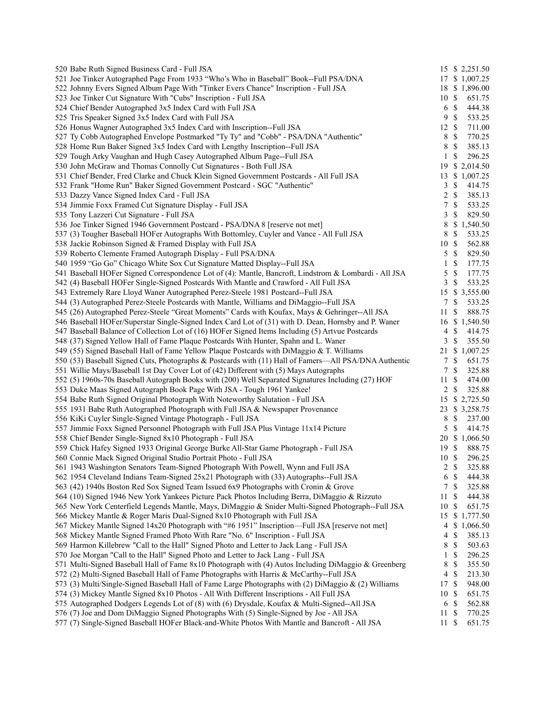| 520 Babe Ruth Signed Business Card - Full JSA                                                         |                  |                           | 15 \$ 2,251.50 |
|-------------------------------------------------------------------------------------------------------|------------------|---------------------------|----------------|
| 521 Joe Tinker Autographed Page From 1933 "Who's Who in Baseball" Book--Full PSA/DNA                  |                  |                           | 17 \$ 1,007.25 |
| 522 Johnny Evers Signed Album Page With "Tinker Evers Chance" Inscription - Full JSA                  |                  |                           | 18 \$ 1,896.00 |
| 523 Joe Tinker Cut Signature With "Cubs" Inscription - Full JSA                                       | 10S              |                           | 651.75         |
| 524 Chief Bender Autographed 3x5 Index Card with Full JSA                                             | 6 <sup>°</sup>   |                           | 444.38         |
| 525 Tris Speaker Signed 3x5 Index Card with Full JSA                                                  | 9                | $\mathbb{S}$              | 533.25         |
| 526 Honus Wagner Autographed 3x5 Index Card with Inscription--Full JSA                                | $12 \text{ }$ \$ |                           | 711.00         |
| 527 Ty Cobb Autographed Envelope Postmarked "Ty Ty" and "Cobb" - PSA/DNA "Authentic"                  | 8                | $\mathbb{S}$              | 770.25         |
| 528 Home Run Baker Signed 3x5 Index Card with Lengthy Inscription--Full JSA                           | 8                | $\mathbb{S}$              | 385.13         |
| 529 Tough Arky Vaughan and Hugh Casey Autographed Album Page--Full JSA                                | 1                | $\mathbb{S}$              | 296.25         |
| 530 John McGraw and Thomas Connolly Cut Signatures - Both Full JSA                                    | 19               |                           | \$2,014.50     |
| 531 Chief Bender, Fred Clarke and Chuck Klein Signed Government Postcards - All Full JSA              | 13               |                           | \$1,007.25     |
| 532 Frank "Home Run" Baker Signed Government Postcard - SGC "Authentic"                               | 3                | $\mathbb{S}$              | 414.75         |
| 533 Dazzy Vance Signed Index Card - Full JSA                                                          | 2                | $\mathbb{S}$              | 385.13         |
| 534 Jimmie Foxx Framed Cut Signature Display - Full JSA                                               | $\boldsymbol{7}$ | $\mathbb{S}$              | 533.25         |
| 535 Tony Lazzeri Cut Signature - Full JSA                                                             | 3                | \$                        | 829.50         |
| 536 Joe Tinker Signed 1946 Government Postcard - PSA/DNA 8 [reserve not met]                          | $\,8\,$          |                           | \$1,540.50     |
| 537 (3) Tougher Baseball HOFer Autographs With Bottomley, Cuyler and Vance - All Full JSA             | 8                | $\mathbb S$               | 533.25         |
| 538 Jackie Robinson Signed & Framed Display with Full JSA                                             | 10               | $\mathcal{S}$             | 562.88         |
| 539 Roberto Clemente Framed Autograph Display - Full PSA/DNA                                          | 5                | $\mathbb{S}$              | 829.50         |
| 540 1959 "Go Go" Chicago White Sox Cut Signature Matted Display--Full JSA                             | $\mathbf{1}$     | \$                        | 177.75         |
| 541 Baseball HOFer Signed Correspondence Lot of (4): Mantle, Bancroft, Lindstrom & Lombardi - All JSA | 5                | $\mathbb{S}$              | 177.75         |
| 542 (4) Baseball HOFer Single-Signed Postcards With Mantle and Crawford - All Full JSA                | 3                | $\mathbb{S}$              | 533.25         |
| 543 Extremely Rare Lloyd Waner Autographed Perez-Steele 1981 Postcard--Full JSA                       | 15               |                           | \$3,555.00     |
| 544 (3) Autographed Perez-Steele Postcards with Mantle, Williams and DiMaggio--Full JSA               | 7                | $\mathbb{S}$              | 533.25         |
| 545 (26) Autographed Perez-Steele "Great Moments" Cards with Koufax, Mays & Gehringer--All JSA        |                  |                           | 888.75         |
|                                                                                                       | 11               | \$                        |                |
| 546 Baseball HOFer/Superstar Single-Signed Index Card Lot of (31) with D. Dean, Hornsby and P. Waner  | $\overline{4}$   | $\mathbb{S}$              | 16 \$ 1,540.50 |
| 547 Baseball Balance of Collection Lot of (16) HOFer Signed Items Including (5) Artvue Postcards      |                  |                           | 414.75         |
| 548 (37) Signed Yellow Hall of Fame Plaque Postcards With Hunter, Spahn and L. Waner                  | 3                | $\mathbb{S}$              | 355.50         |
| 549 (55) Signed Baseball Hall of Fame Yellow Plaque Postcards with DiMaggio & T. Williams             | 21               |                           | \$1,007.25     |
| 550 (53) Baseball Signed Cuts, Photographs & Postcards with (11) Hall of Famers—All PSA/DNA Authentic | $\tau$           | $\mathbb{S}$              | 651.75         |
| 551 Willie Mays/Baseball 1st Day Cover Lot of (42) Different with (5) Mays Autographs                 | 7                | $\mathbb{S}$              | 325.88         |
| 552 (5) 1960s-70s Baseball Autograph Books with (200) Well Separated Signatures Including (27) HOF    | 11               | -\$                       | 474.00         |
| 553 Duke Maas Signed Autograph Book Page With JSA - Tough 1961 Yankee!                                | 2                | $\mathbb{S}$              | 325.88         |
| 554 Babe Ruth Signed Original Photograph With Noteworthy Salutation - Full JSA                        |                  |                           | 15 \$ 2,725.50 |
| 555 1931 Babe Ruth Autographed Photograph with Full JSA & Newspaper Provenance                        |                  |                           | 23 \$ 3,258.75 |
| 556 KiKi Cuyler Single-Signed Vintage Photograph - Full JSA                                           | 8                | $\mathbb{S}$              | 237.00         |
| 557 Jimmie Foxx Signed Personnel Photograph with Full JSA Plus Vintage 11x14 Picture                  | 5                | \$                        | 414.75         |
| 558 Chief Bender Single-Signed 8x10 Photograph - Full JSA                                             |                  |                           | 20 \$ 1,066.50 |
| 559 Chick Hafey Signed 1933 Original George Burke All-Star Game Photograph - Full JSA                 | 19 \$            |                           | 888.75         |
| 560 Connie Mack Signed Original Studio Portrait Photo - Full JSA                                      | 10S              |                           | 296.25         |
| 561 1943 Washington Senators Team-Signed Photograph With Powell, Wynn and Full JSA                    | 2                | $\mathbb{S}$              | 325.88         |
| 562 1954 Cleveland Indians Team-Signed 25x21 Photograph with (33) Autographs--Full JSA                | 6                | $\mathcal{S}$             | 444.38         |
| 563 (42) 1940s Boston Red Sox Signed Team Issued 6x9 Photographs with Cronin & Grove                  | 7                | $\mathbb{S}$              | 325.88         |
| 564 (10) Signed 1946 New York Yankees Picture Pack Photos Including Berra, DiMaggio & Rizzuto         | 11               | $\boldsymbol{\mathsf{S}}$ | 444.38         |
| 565 New York Centerfield Legends Mantle, Mays, DiMaggio & Snider Multi-Signed Photograph--Full JSA    | 10               | $\mathcal{S}$             | 651.75         |
| 566 Mickey Mantle & Roger Maris Dual-Signed 8x10 Photograph with Full JSA                             | 15               |                           | \$1,777.50     |
| 567 Mickey Mantle Signed 14x20 Photograph with "#6 1951" Inscription—Full JSA [reserve not met]       | 4                |                           | \$1,066.50     |
| 568 Mickey Mantle Signed Framed Photo With Rare "No. 6" Inscription - Full JSA                        | 4                | \$                        | 385.13         |
| 569 Harmon Killebrew "Call to the Hall" Signed Photo and Letter to Jack Lang - Full JSA               | 8                | \$                        | 503.63         |
| 570 Joe Morgan "Call to the Hall" Signed Photo and Letter to Jack Lang - Full JSA                     | 1                | \$                        | 296.25         |
| 571 Multi-Signed Baseball Hall of Fame 8x10 Photograph with (4) Autos Including DiMaggio & Greenberg  | 8                | $\mathbb{S}$              | 355.50         |
| 572 (2) Multi-Signed Baseball Hall of Fame Photographs with Harris & McCarthy--Full JSA               | 4                | $\mathbb{S}$              | 213.30         |
| 573 (3) Multi/Single-Signed Baseball Hall of Fame Large Photographs with (2) DiMaggio & (2) Williams  | 17 \$            |                           | 948.00         |
| 574 (3) Mickey Mantle Signed 8x10 Photos - All With Different Inscriptions - All Full JSA             | 10S              |                           | 651.75         |
| 575 Autographed Dodgers Legends Lot of (8) with (6) Drysdale, Koufax & Multi-Signed--All JSA          | 6                | $\boldsymbol{\mathsf{S}}$ | 562.88         |
| 576 (7) Joe and Dom DiMaggio Signed Photographs With (5) Single-Signed by Joe - All JSA               | 11               | -\$                       | 770.25         |
| 577 (7) Single-Signed Baseball HOFer Black-and-White Photos With Mantle and Bancroft - All JSA        | 11S              |                           | 651.75         |
|                                                                                                       |                  |                           |                |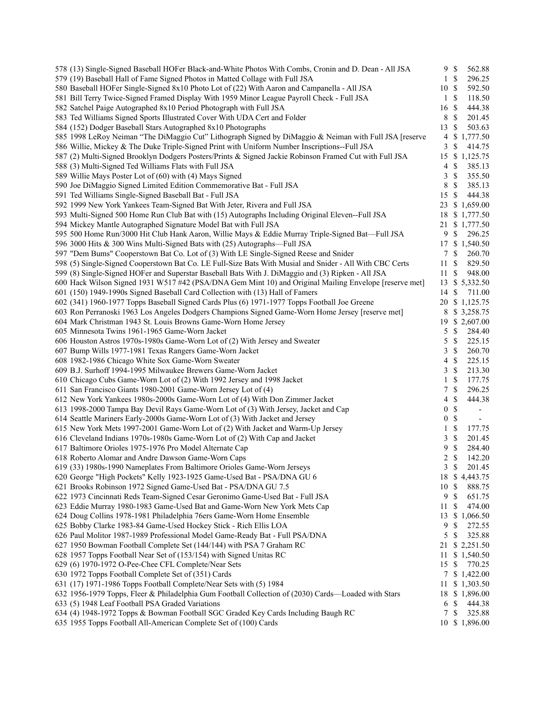| 578 (13) Single-Signed Baseball HOFer Black-and-White Photos With Combs, Cronin and D. Dean - All JSA   | 9S               |                           | 562.88                   |
|---------------------------------------------------------------------------------------------------------|------------------|---------------------------|--------------------------|
| 579 (19) Baseball Hall of Fame Signed Photos in Matted Collage with Full JSA                            |                  | $1 \text{ }$ \$           | 296.25                   |
| 580 Baseball HOFer Single-Signed 8x10 Photo Lot of (22) With Aaron and Campanella - All JSA             | 10 \$            |                           | 592.50                   |
| 581 Bill Terry Twice-Signed Framed Display With 1959 Minor League Payroll Check - Full JSA              | $\mathbf{1}$     | $\mathcal{S}$             | 118.50                   |
| 582 Satchel Paige Autographed 8x10 Period Photograph with Full JSA                                      | 16 \$            |                           | 444.38                   |
| 583 Ted Williams Signed Sports Illustrated Cover With UDA Cert and Folder                               | 8                | $\mathbb{S}$              | 201.45                   |
| 584 (152) Dodger Baseball Stars Autographed 8x10 Photographs                                            | 13               | $\mathbb{S}$              | 503.63                   |
| 585 1998 LeRoy Neiman "The DiMaggio Cut" Lithograph Signed by DiMaggio & Neiman with Full JSA [reserve  | $\overline{4}$   |                           | \$1,777.50               |
| 586 Willie, Mickey & The Duke Triple-Signed Print with Uniform Number Inscriptions--Full JSA            | 3                | \$                        | 414.75                   |
| 587 (2) Multi-Signed Brooklyn Dodgers Posters/Prints & Signed Jackie Robinson Framed Cut with Full JSA  | 15               |                           | \$1,125.75               |
| 588 (3) Multi-Signed Ted Williams Flats with Full JSA                                                   | 4                | $\mathbb{S}$              | 385.13                   |
| 589 Willie Mays Poster Lot of (60) with (4) Mays Signed                                                 | 3                | $\mathbb{S}$              | 355.50                   |
| 590 Joe DiMaggio Signed Limited Edition Commemorative Bat - Full JSA                                    | 8                | $\mathbb{S}$              | 385.13                   |
| 591 Ted Williams Single-Signed Baseball Bat - Full JSA                                                  | 15S              |                           | 444.38                   |
| 592 1999 New York Yankees Team-Signed Bat With Jeter, Rivera and Full JSA                               |                  |                           | 23 \$ 1,659.00           |
| 593 Multi-Signed 500 Home Run Club Bat with (15) Autographs Including Original Eleven--Full JSA         | 18               |                           | \$1,777.50               |
| 594 Mickey Mantle Autographed Signature Model Bat with Full JSA                                         | 21               |                           | \$1,777.50               |
| 595 500 Home Run/3000 Hit Club Hank Aaron, Willie Mays & Eddie Murray Triple-Signed Bat—Full JSA        | 9                | $\mathbb{S}$              | 296.25                   |
| 596 3000 Hits & 300 Wins Multi-Signed Bats with (25) Autographs-Full JSA                                |                  |                           | 17 \$ 1,540.50           |
| 597 "Dem Bums" Cooperstown Bat Co. Lot of (3) With LE Single-Signed Reese and Snider                    | 7                | $\mathbb{S}$              | 260.70                   |
| 598 (5) Single-Signed Cooperstown Bat Co. LE Full-Size Bats With Musial and Snider - All With CBC Certs | 11               | -\$                       | 829.50                   |
|                                                                                                         |                  |                           |                          |
| 599 (8) Single-Signed HOFer and Superstar Baseball Bats With J. DiMaggio and (3) Ripken - All JSA       | 11               | -\$                       | 948.00                   |
| 600 Hack Wilson Signed 1931 W517 #42 (PSA/DNA Gem Mint 10) and Original Mailing Envelope [reserve met]  |                  |                           | 13 \$ 5,332.50           |
| 601 (150) 1949-1990s Signed Baseball Card Collection with (13) Hall of Famers                           | 14               | -S                        | 711.00                   |
| 602 (341) 1960-1977 Topps Baseball Signed Cards Plus (6) 1971-1977 Topps Football Joe Greene            |                  |                           | 20 \$ 1,125.75           |
| 603 Ron Perranoski 1963 Los Angeles Dodgers Champions Signed Game-Worn Home Jersey [reserve met]        | 8                |                           | \$3,258.75               |
| 604 Mark Christman 1943 St. Louis Browns Game-Worn Home Jersey                                          |                  |                           | 19 \$ 2,607.00           |
| 605 Minnesota Twins 1961-1965 Game-Worn Jacket                                                          | 5                | $\mathbb{S}$              | 284.40                   |
| 606 Houston Astros 1970s-1980s Game-Worn Lot of (2) With Jersey and Sweater                             | 5                | $\mathbb{S}$              | 225.15                   |
| 607 Bump Wills 1977-1981 Texas Rangers Game-Worn Jacket                                                 | 3                | $\mathbb{S}$              | 260.70                   |
| 608 1982-1986 Chicago White Sox Game-Worn Sweater                                                       | 4                | $\mathbb{S}$              | 225.15                   |
| 609 B.J. Surhoff 1994-1995 Milwaukee Brewers Game-Worn Jacket                                           | 3                | $\mathbb{S}$              | 213.30                   |
| 610 Chicago Cubs Game-Worn Lot of (2) With 1992 Jersey and 1998 Jacket                                  | $\mathbf{1}$     | $\mathbb{S}$              | 177.75                   |
| 611 San Francisco Giants 1980-2001 Game-Worn Jersey Lot of (4)                                          | $7\phantom{.0}$  | $\mathcal{S}$             | 296.25                   |
| 612 New York Yankees 1980s-2000s Game-Worn Lot of (4) With Don Zimmer Jacket                            | $\overline{4}$   | $\mathbb{S}$              | 444.38                   |
| 613 1998-2000 Tampa Bay Devil Rays Game-Worn Lot of (3) With Jersey, Jacket and Cap                     | $\mathbf{0}$     | $\mathcal{S}$             | $\overline{\phantom{a}}$ |
| 614 Seattle Mariners Early-2000s Game-Worn Lot of (3) With Jacket and Jersey                            | $\boldsymbol{0}$ | $\mathcal{S}$             | $\overline{\phantom{a}}$ |
| 615 New York Mets 1997-2001 Game-Worn Lot of (2) With Jacket and Warm-Up Jersey                         | $\mathbf{1}$     | $\mathbb{S}$              | 177.75                   |
| 616 Cleveland Indians 1970s-1980s Game-Worn Lot of (2) With Cap and Jacket                              | 3                | $\mathcal{S}$             | 201.45                   |
| 617 Baltimore Orioles 1975-1976 Pro Model Alternate Cap                                                 | 9                | \$                        | 284.40                   |
| 618 Roberto Alomar and Andre Dawson Game-Worn Caps                                                      | 2                | $\mathcal{S}$             | 142.20                   |
| 619 (33) 1980s-1990 Nameplates From Baltimore Orioles Game-Worn Jerseys                                 |                  | $3 \sqrt{3}$              | 201.45                   |
| 620 George "High Pockets" Kelly 1923-1925 Game-Used Bat - PSA/DNA GU 6                                  | 18               |                           | \$4,443.75               |
| 621 Brooks Robinson 1972 Signed Game-Used Bat - PSA/DNA GU 7.5                                          | 10S              |                           | 888.75                   |
| 622 1973 Cincinnati Reds Team-Signed Cesar Geronimo Game-Used Bat - Full JSA                            | 9                | $\boldsymbol{\mathsf{S}}$ | 651.75                   |
| 623 Eddie Murray 1980-1983 Game-Used Bat and Game-Worn New York Mets Cap                                | 11               | -\$                       | 474.00                   |
| 624 Doug Collins 1978-1981 Philadelphia 76ers Game-Worn Home Ensemble                                   | 13               |                           | \$1,066.50               |
| 625 Bobby Clarke 1983-84 Game-Used Hockey Stick - Rich Ellis LOA                                        | 9                | $\mathbb{S}$              | 272.55                   |
| 626 Paul Molitor 1987-1989 Professional Model Game-Ready Bat - Full PSA/DNA                             | 5                | \$                        | 325.88                   |
| 627 1950 Bowman Football Complete Set (144/144) with PSA 7 Graham RC                                    | 21               |                           | \$2,251.50               |
| 628 1957 Topps Football Near Set of (153/154) with Signed Unitas RC                                     | 11               |                           | \$1,540.50               |
| 629 (6) 1970-1972 O-Pee-Chee CFL Complete/Near Sets                                                     | 15               | -S                        | 770.25                   |
| 630 1972 Topps Football Complete Set of (351) Cards                                                     |                  |                           | 7 \$ 1,422.00            |
| 631 (17) 1971-1986 Topps Football Complete/Near Sets with (5) 1984                                      |                  |                           | \$1,303.50               |
|                                                                                                         | 11               |                           |                          |
| 632 1956-1979 Topps, Fleer & Philadelphia Gum Football Collection of (2030) Cards—Loaded with Stars     |                  |                           | 18 \$ 1,896.00           |
| 633 (5) 1948 Leaf Football PSA Graded Variations                                                        | 6                | $\boldsymbol{\mathsf{S}}$ | 444.38                   |
| 634 (4) 1948-1972 Topps & Bowman Football SGC Graded Key Cards Including Baugh RC                       | 7                | S                         | 325.88                   |
| 635 1955 Topps Football All-American Complete Set of (100) Cards                                        |                  |                           | 10 \$ 1,896.00           |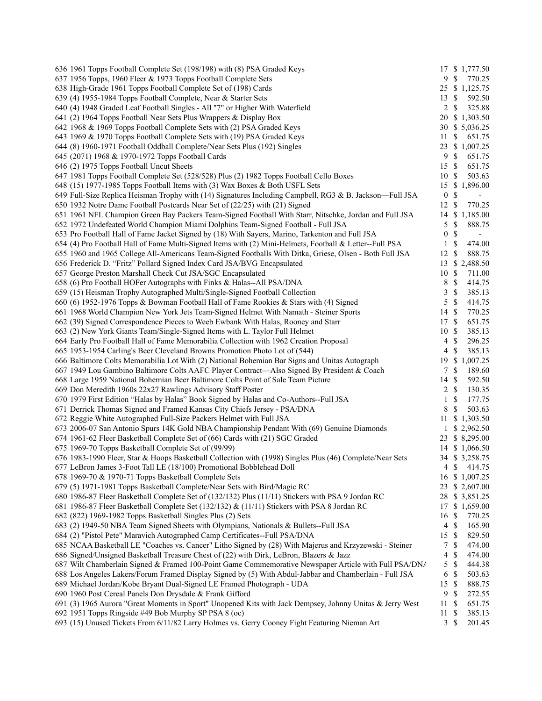| 636 1961 Topps Football Complete Set (198/198) with (8) PSA Graded Keys                                  |                  |                           | 17 \$ 1,777.50           |
|----------------------------------------------------------------------------------------------------------|------------------|---------------------------|--------------------------|
| 637 1956 Topps, 1960 Fleer & 1973 Topps Football Complete Sets                                           |                  | 9 \$                      | 770.25                   |
| 638 High-Grade 1961 Topps Football Complete Set of (198) Cards                                           |                  |                           | 25 \$ 1,125.75           |
| 639 (4) 1955-1984 Topps Football Complete, Near & Starter Sets                                           | $13 \text{ }$ \$ |                           | 592.50                   |
| 640 (4) 1948 Graded Leaf Football Singles - All "7" or Higher With Waterfield                            | $\overline{2}$   | \$                        | 325.88                   |
| 641 (2) 1964 Topps Football Near Sets Plus Wrappers & Display Box                                        |                  |                           | 20 \$ 1,303.50           |
| 642 1968 & 1969 Topps Football Complete Sets with (2) PSA Graded Keys                                    |                  |                           | 30 \$ 5,036.25           |
| 643 1969 & 1970 Topps Football Complete Sets with (19) PSA Graded Keys                                   | 11               | $\mathbb{S}$              | 651.75                   |
| 644 (8) 1960-1971 Football Oddball Complete/Near Sets Plus (192) Singles                                 |                  |                           | 23 \$ 1,007.25           |
| 645 (2071) 1968 & 1970-1972 Topps Football Cards                                                         | 9                | $\mathbb{S}$              | 651.75                   |
| 646 (2) 1975 Topps Football Uncut Sheets                                                                 | 15               | -S                        | 651.75                   |
| 647 1981 Topps Football Complete Set (528/528) Plus (2) 1982 Topps Football Cello Boxes                  | 10S              |                           | 503.63                   |
| 648 (15) 1977-1985 Topps Football Items with (3) Wax Boxes & Both USFL Sets                              | 15               |                           | \$1,896.00               |
| 649 Full-Size Replica Heisman Trophy with (14) Signatures Including Campbell, RG3 & B. Jackson—Full JSA  | $\bf{0}$         | $\mathbb{S}$              | $\overline{\phantom{0}}$ |
| 650 1932 Notre Dame Football Postcards Near Set of (22/25) with (21) Signed                              | 12               | $\mathbb{S}$              | 770.25                   |
| 651 1961 NFL Champion Green Bay Packers Team-Signed Football With Starr, Nitschke, Jordan and Full JSA   |                  |                           | 14 \$ 1,185.00           |
| 652 1972 Undefeated World Champion Miami Dolphins Team-Signed Football - Full JSA                        | 5                | $\mathbb{S}$              | 888.75                   |
| 653 Pro Football Hall of Fame Jacket Signed by (18) With Sayers, Marino, Tarkenton and Full JSA          | $\boldsymbol{0}$ | $\mathcal{S}$             | $\overline{\phantom{a}}$ |
| 654 (4) Pro Football Hall of Fame Multi-Signed Items with (2) Mini-Helmets, Football & Letter--Full PSA  | $\mathbf{1}$     | \$                        | 474.00                   |
| 655 1960 and 1965 College All-Americans Team-Signed Footballs With Ditka, Griese, Olsen - Both Full JSA  | 12               | $\mathbb{S}$              | 888.75                   |
| 656 Frederick D. "Fritz" Pollard Signed Index Card JSA/BVG Encapsulated                                  |                  |                           |                          |
| 657 George Preston Marshall Check Cut JSA/SGC Encapsulated                                               | 10S              |                           | 13 \$ 2,488.50<br>711.00 |
|                                                                                                          | 8                | $\mathbb{S}$              |                          |
| 658 (6) Pro Football HOFer Autographs with Finks & Halas--All PSA/DNA                                    |                  |                           | 414.75                   |
| 659 (15) Heisman Trophy Autographed Multi/Single-Signed Football Collection                              | 3                | $\mathbb{S}$              | 385.13                   |
| 660 (6) 1952-1976 Topps & Bowman Football Hall of Fame Rookies & Stars with (4) Signed                   | 5                | $\mathbb{S}$              | 414.75                   |
| 661 1968 World Champion New York Jets Team-Signed Helmet With Namath - Steiner Sports                    | 14 \$            |                           | 770.25                   |
| 662 (39) Signed Correspondence Pieces to Weeb Ewbank With Halas, Rooney and Starr                        | 17 \$            |                           | 651.75                   |
| 663 (2) New York Giants Team/Single-Signed Items with L. Taylor Full Helmet                              | 10S              |                           | 385.13                   |
| 664 Early Pro Football Hall of Fame Memorabilia Collection with 1962 Creation Proposal                   | $\overline{4}$   | $\mathbb{S}$              | 296.25                   |
| 665 1953-1954 Carling's Beer Cleveland Browns Promotion Photo Lot of (544)                               | 4                | $\mathbb{S}$              | 385.13                   |
| 666 Baltimore Colts Memorabilia Lot With (2) National Bohemian Bar Signs and Unitas Autograph            | 19               |                           | \$1,007.25               |
| 667 1949 Lou Gambino Baltimore Colts AAFC Player Contract—Also Signed By President & Coach               | 7                | $\mathbb{S}$              | 189.60                   |
| 668 Large 1959 National Bohemian Beer Baltimore Colts Point of Sale Team Picture                         | 14               | \$                        | 592.50                   |
| 669 Don Meredith 1960s 22x27 Rawlings Advisory Staff Poster                                              | $\overline{c}$   | $\mathbb{S}$              | 130.35                   |
| 670 1979 First Edition "Halas by Halas" Book Signed by Halas and Co-Authors--Full JSA                    | $\mathbf{1}$     | $\mathbb{S}$              | 177.75                   |
| 671 Derrick Thomas Signed and Framed Kansas City Chiefs Jersey - PSA/DNA                                 | 8                | $\mathbb{S}$              | 503.63                   |
| 672 Reggie White Autographed Full-Size Packers Helmet with Full JSA                                      | 11               |                           | \$1,303.50               |
| 673 2006-07 San Antonio Spurs 14K Gold NBA Championship Pendant With (69) Genuine Diamonds               |                  |                           | $1$ \$ 2,962.50          |
| 674 1961-62 Fleer Basketball Complete Set of (66) Cards with (21) SGC Graded                             |                  |                           | 23 \$ 8,295.00           |
| 675 1969-70 Topps Basketball Complete Set of (99/99)                                                     |                  |                           | 14 \$ 1,066.50           |
| 676 1983-1990 Fleer, Star & Hoops Basketball Collection with (1998) Singles Plus (46) Complete/Near Sets |                  |                           | 34 \$ 3,258.75           |
| 677 LeBron James 3-Foot Tall LE (18/100) Promotional Bobblehead Doll                                     |                  | 4 \$                      | 414.75                   |
| 678 1969-70 & 1970-71 Topps Basketball Complete Sets                                                     |                  |                           | 16 \$ 1,007.25           |
| 679 (5) 1971-1981 Topps Basketball Complete/Near Sets with Bird/Magic RC                                 |                  |                           | 23 \$ 2,607.00           |
| 680 1986-87 Fleer Basketball Complete Set of (132/132) Plus (11/11) Stickers with PSA 9 Jordan RC        |                  |                           | 28 \$ 3,851.25           |
| 681 1986-87 Fleer Basketball Complete Set (132/132) & (11/11) Stickers with PSA 8 Jordan RC              |                  |                           | 17 \$ 1,659.00           |
| 682 (822) 1969-1982 Topps Basketball Singles Plus (2) Sets                                               | 16 \$            |                           | 770.25                   |
| 683 (2) 1949-50 NBA Team Signed Sheets with Olympians, Nationals & Bullets--Full JSA                     |                  | $4 \text{ } $$            | 165.90                   |
| 684 (2) "Pistol Pete" Maravich Autographed Camp Certificates--Full PSA/DNA                               | 15               | -S                        | 829.50                   |
| 685 NCAA Basketball LE "Coaches vs. Cancer" Litho Signed by (28) With Majerus and Krzyzewski - Steiner   | 7                | $\mathbb{S}$              | 474.00                   |
| 686 Signed/Unsigned Basketball Treasure Chest of (22) with Dirk, LeBron, Blazers & Jazz                  | 4                | \$                        | 474.00                   |
| 687 Wilt Chamberlain Signed & Framed 100-Point Game Commemorative Newspaper Article with Full PSA/DNA    | 5                | $\mathbb{S}$              | 444.38                   |
| 688 Los Angeles Lakers/Forum Framed Display Signed by (5) With Abdul-Jabbar and Chamberlain - Full JSA   | 6                | $\mathbb{S}$              | 503.63                   |
| 689 Michael Jordan/Kobe Bryant Dual-Signed LE Framed Photograph - UDA                                    | 15S              |                           | 888.75                   |
| 690 1960 Post Cereal Panels Don Drysdale & Frank Gifford                                                 | 9                | $\mathbf{\$}$             | 272.55                   |
| 691 (3) 1965 Aurora "Great Moments in Sport" Unopened Kits with Jack Dempsey, Johnny Unitas & Jerry West | 11S              |                           | 651.75                   |
| 692 1951 Topps Ringside #49 Bob Murphy SP PSA 8 (oc)                                                     | 11S              |                           | 385.13                   |
| 693 (15) Unused Tickets From 6/11/82 Larry Holmes vs. Gerry Cooney Fight Featuring Nieman Art            | $\mathbf{3}$     | $\boldsymbol{\mathsf{S}}$ | 201.45                   |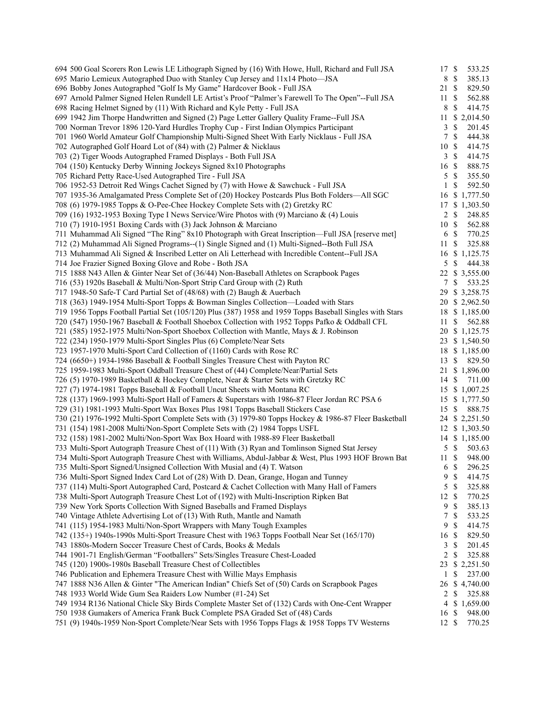| 694 500 Goal Scorers Ron Lewis LE Lithograph Signed by (16) With Howe, Hull, Richard and Full JSA                                                                                 | 17S            |                | 533.25                           |
|-----------------------------------------------------------------------------------------------------------------------------------------------------------------------------------|----------------|----------------|----------------------------------|
| 695 Mario Lemieux Autographed Duo with Stanley Cup Jersey and 11x14 Photo-JSA                                                                                                     | 8              | $\mathbb{S}$   | 385.13                           |
| 696 Bobby Jones Autographed "Golf Is My Game" Hardcover Book - Full JSA                                                                                                           | 21 \$          |                | 829.50                           |
| 697 Arnold Palmer Signed Helen Rundell LE Artist's Proof "Palmer's Farewell To The Open"--Full JSA                                                                                | 11             | $\mathbb{S}$   | 562.88                           |
| 698 Racing Helmet Signed by (11) With Richard and Kyle Petty - Full JSA                                                                                                           | 8              | $\mathcal{S}$  | 414.75                           |
| 699 1942 Jim Thorpe Handwritten and Signed (2) Page Letter Gallery Quality Frame--Full JSA                                                                                        | 11             |                | \$2,014.50                       |
| 700 Norman Trevor 1896 120-Yard Hurdles Trophy Cup - First Indian Olympics Participant                                                                                            | 3              | $\mathbb{S}$   | 201.45                           |
| 701 1960 World Amateur Golf Championship Multi-Signed Sheet With Early Nicklaus - Full JSA                                                                                        | 7              | $\mathcal{S}$  | 444.38                           |
| 702 Autographed Golf Hoard Lot of (84) with (2) Palmer & Nicklaus                                                                                                                 | 10S            |                | 414.75                           |
| 703 (2) Tiger Woods Autographed Framed Displays - Both Full JSA                                                                                                                   |                | $3 \sqrt{3}$   | 414.75                           |
| 704 (150) Kentucky Derby Winning Jockeys Signed 8x10 Photographs                                                                                                                  | 16 \$          |                | 888.75                           |
| 705 Richard Petty Race-Used Autographed Tire - Full JSA                                                                                                                           | 5              | $\mathbb{S}$   | 355.50                           |
| 706 1952-53 Detroit Red Wings Cachet Signed by (7) with Howe & Sawchuck - Full JSA                                                                                                | 1              | $\mathbb{S}$   | 592.50                           |
| 707 1935-36 Amalgamated Press Complete Set of (20) Hockey Postcards Plus Both Folders—All SGC                                                                                     | 16             |                | \$1,777.50                       |
| 708 (6) 1979-1985 Topps & O-Pee-Chee Hockey Complete Sets with (2) Gretzky RC                                                                                                     |                |                | 17 \$ 1,303.50                   |
| 709 (16) 1932-1953 Boxing Type I News Service/Wire Photos with (9) Marciano & (4) Louis                                                                                           | $\overline{2}$ | $\mathcal{S}$  | 248.85                           |
| 710 (7) 1910-1951 Boxing Cards with (3) Jack Johnson & Marciano                                                                                                                   | 10S            |                | 562.88                           |
| 711 Muhammad Ali Signed "The Ring" 8x10 Photograph with Great Inscription—Full JSA [reserve met]                                                                                  |                | 6 <sup>°</sup> | 770.25                           |
| 712 (2) Muhammad Ali Signed Programs--(1) Single Signed and (1) Multi-Signed--Both Full JSA                                                                                       | 11             | \$             | 325.88                           |
| 713 Muhammad Ali Signed & Inscribed Letter on Ali Letterhead with Incredible Content--Full JSA                                                                                    |                |                | 16 \$ 1,125.75                   |
| 714 Joe Frazier Signed Boxing Glove and Robe - Both JSA                                                                                                                           | 5              | \$             | 444.38                           |
| 715 1888 N43 Allen & Ginter Near Set of (36/44) Non-Baseball Athletes on Scrapbook Pages                                                                                          |                |                | 22 \$ 3,555.00                   |
| 716 (53) 1920s Baseball & Multi/Non-Sport Strip Card Group with (2) Ruth                                                                                                          | 7              | $\mathbb{S}$   | 533.25                           |
| 717 1948-50 Safe-T Card Partial Set of (48/68) with (2) Baugh & Auerbach                                                                                                          |                |                | 29 \$ 3,258.75                   |
| 718 (363) 1949-1954 Multi-Sport Topps & Bowman Singles Collection—Loaded with Stars                                                                                               |                |                | 20 \$ 2,962.50                   |
| 719 1956 Topps Football Partial Set (105/120) Plus (387) 1958 and 1959 Topps Baseball Singles with Stars                                                                          |                |                | 18 \$ 1,185.00                   |
| 720 (547) 1950-1967 Baseball & Football Shoebox Collection with 1952 Topps Pafko & Oddball CFL                                                                                    | 11             | -S             | 562.88                           |
| 721 (585) 1952-1975 Multi/Non-Sport Shoebox Collection with Mantle, Mays & J. Robinson                                                                                            |                |                | 20 \$ 1,125.75                   |
| 722 (234) 1950-1979 Multi-Sport Singles Plus (6) Complete/Near Sets                                                                                                               |                |                | 23 \$ 1,540.50                   |
| 723 1957-1970 Multi-Sport Card Collection of (1160) Cards with Rose RC                                                                                                            |                |                | 18 \$ 1,185.00                   |
| 724 (6650+) 1934-1986 Baseball & Football Singles Treasure Chest with Payton RC                                                                                                   | 13             | \$             | 829.50                           |
| 725 1959-1983 Multi-Sport Oddball Treasure Chest of (44) Complete/Near/Partial Sets                                                                                               |                |                | 21 \$ 1,896.00                   |
| 726 (5) 1970-1989 Basketball & Hockey Complete, Near & Starter Sets with Gretzky RC                                                                                               | 14             | \$             | 711.00                           |
|                                                                                                                                                                                   |                |                |                                  |
| 727 (7) 1974-1981 Topps Baseball & Football Uncut Sheets with Montana RC                                                                                                          |                |                | 15 \$ 1,007.25<br>15 \$ 1,777.50 |
| 728 (137) 1969-1993 Multi-Sport Hall of Famers & Superstars with 1986-87 Fleer Jordan RC PSA 6<br>729 (31) 1981-1993 Multi-Sport Wax Boxes Plus 1981 Topps Baseball Stickers Case |                | $\mathbb{S}$   |                                  |
|                                                                                                                                                                                   | 15             |                | 888.75                           |
| 730 (21) 1976-1992 Multi-Sport Complete Sets with (3) 1979-80 Topps Hockey & 1986-87 Fleer Basketball                                                                             |                |                | 24 \$ 2,251.50                   |
| 731 (154) 1981-2008 Multi/Non-Sport Complete Sets with (2) 1984 Topps USFL                                                                                                        |                |                | 12 \$ 1,303.50                   |
| 732 (158) 1981-2002 Multi/Non-Sport Wax Box Hoard with 1988-89 Fleer Basketball                                                                                                   |                |                | 14 \$ 1,185.00                   |
| 733 Multi-Sport Autograph Treasure Chest of (11) With (3) Ryan and Tomlinson Signed Stat Jersey                                                                                   | 5              | $\mathcal{S}$  | 503.63                           |
| 734 Multi-Sport Autograph Treasure Chest with Williams, Abdul-Jabbar & West, Plus 1993 HOF Brown Bat                                                                              | 11             | $\mathcal{S}$  | 948.00                           |
| 735 Multi-Sport Signed/Unsigned Collection With Musial and (4) T. Watson                                                                                                          |                | 6 <sup>°</sup> | 296.25                           |
| 736 Multi-Sport Signed Index Card Lot of (28) With D. Dean, Grange, Hogan and Tunney                                                                                              | 9              | $\mathbf{\$}$  | 414.75                           |
| 737 (114) Multi-Sport Autographed Card, Postcard & Cachet Collection with Many Hall of Famers                                                                                     | 5              | $\mathbb{S}$   | 325.88                           |
| 738 Multi-Sport Autograph Treasure Chest Lot of (192) with Multi-Inscription Ripken Bat                                                                                           | 12             | $\mathcal{S}$  | 770.25                           |
| 739 New York Sports Collection With Signed Baseballs and Framed Displays                                                                                                          | 9              | \$             | 385.13                           |
| 740 Vintage Athlete Advertising Lot of (13) With Ruth, Mantle and Namath                                                                                                          | 7              | $\mathbb{S}$   | 533.25                           |
| 741 (115) 1954-1983 Multi/Non-Sport Wrappers with Many Tough Examples                                                                                                             | 9              | $\mathbb{S}$   | 414.75                           |
| 742 (135+) 1940s-1990s Multi-Sport Treasure Chest with 1963 Topps Football Near Set (165/170)                                                                                     | 16             | -\$            | 829.50                           |
| 743 1880s-Modern Soccer Treasure Chest of Cards, Books & Medals                                                                                                                   | 3              | \$             | 201.45                           |
| 744 1901-71 English/German "Footballers" Sets/Singles Treasure Chest-Loaded                                                                                                       | 2              | \$             | 325.88                           |
| 745 (120) 1900s-1980s Baseball Treasure Chest of Collectibles                                                                                                                     | 23             |                | \$2,251.50                       |
| 746 Publication and Ephemera Treasure Chest with Willie Mays Emphasis                                                                                                             | 1              | \$             | 237.00                           |
| 747 1888 N36 Allen & Ginter "The American Indian" Chiefs Set of (50) Cards on Scrapbook Pages                                                                                     | 26             |                | \$4,740.00                       |
| 748 1933 World Wide Gum Sea Raiders Low Number (#1-24) Set                                                                                                                        | $\overline{2}$ | \$             | 325.88                           |
| 749 1934 R136 National Chicle Sky Birds Complete Master Set of (132) Cards with One-Cent Wrapper                                                                                  | 4              |                | \$1,659.00                       |
| 750 1938 Gumakers of America Frank Buck Complete PSA Graded Set of (48) Cards                                                                                                     | 16 \$          |                | 948.00                           |
| 751 (9) 1940s-1959 Non-Sport Complete/Near Sets with 1956 Topps Flags & 1958 Topps TV Westerns                                                                                    | 12S            |                | 770.25                           |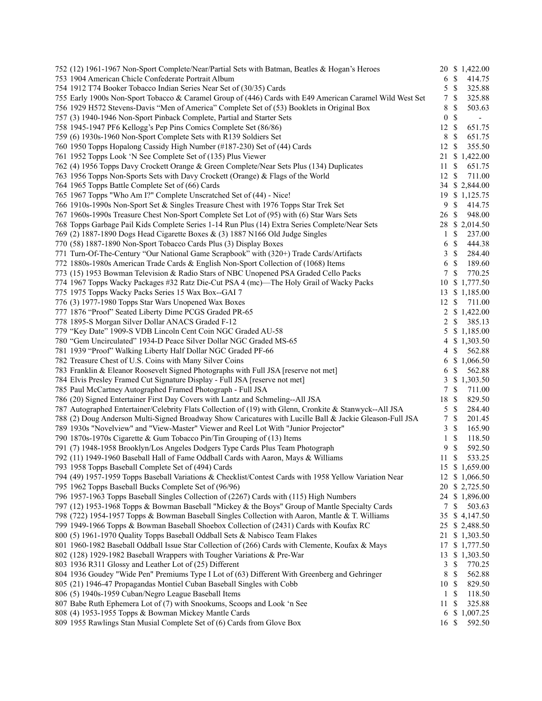| 752 (12) 1961-1967 Non-Sport Complete/Near/Partial Sets with Batman, Beatles & Hogan's Heroes            |                  |                           | 20 \$ 1,422.00 |
|----------------------------------------------------------------------------------------------------------|------------------|---------------------------|----------------|
| 753 1904 American Chicle Confederate Portrait Album                                                      | 6 <sup>°</sup>   |                           | 414.75         |
| 754 1912 T74 Booker Tobacco Indian Series Near Set of (30/35) Cards                                      | 5                | $\mathbb{S}$              | 325.88         |
| 755 Early 1900s Non-Sport Tobacco & Caramel Group of (446) Cards with E49 American Caramel Wild West Set | 7                | $\mathbb{S}$              | 325.88         |
| 756 1929 H572 Stevens-Davis "Men of America" Complete Set of (53) Booklets in Original Box               | 8                | \$                        | 503.63         |
| 757 (3) 1940-1946 Non-Sport Pinback Complete, Partial and Starter Sets                                   | $\boldsymbol{0}$ | $\mathbb{S}$              |                |
| 758 1945-1947 PF6 Kellogg's Pep Pins Comics Complete Set (86/86)                                         | 12S              |                           | 651.75         |
| 759 (6) 1930s-1960 Non-Sport Complete Sets with R139 Soldiers Set                                        | 8                | $\mathbb{S}$              | 651.75         |
| 760 1950 Topps Hopalong Cassidy High Number (#187-230) Set of (44) Cards                                 | 12               | $\mathbb{S}$              | 355.50         |
| 761 1952 Topps Look 'N See Complete Set of (135) Plus Viewer                                             | 21               |                           | \$1,422.00     |
| 762 (4) 1956 Topps Davy Crockett Orange & Green Complete/Near Sets Plus (134) Duplicates                 | 11               | $\mathbb{S}$              | 651.75         |
| 763 1956 Topps Non-Sports Sets with Davy Crockett (Orange) & Flags of the World                          | 12               | $\mathbb{S}$              | 711.00         |
| 764 1965 Topps Battle Complete Set of (66) Cards                                                         |                  |                           | 34 \$ 2,844.00 |
| 765 1967 Topps "Who Am I?" Complete Unscratched Set of (44) - Nice!                                      |                  |                           | 19 \$ 1,125.75 |
| 766 1910s-1990s Non-Sport Set & Singles Treasure Chest with 1976 Topps Star Trek Set                     | 9                | $\mathbb{S}$              | 414.75         |
| 767 1960s-1990s Treasure Chest Non-Sport Complete Set Lot of (95) with (6) Star Wars Sets                | 26               | $\mathbb{S}$              | 948.00         |
| 768 Topps Garbage Pail Kids Complete Series 1-14 Run Plus (14) Extra Series Complete/Near Sets           |                  |                           | 28 \$ 2,014.50 |
| 769 (2) 1887-1890 Dogs Head Cigarette Boxes & (3) 1887 N166 Old Judge Singles                            | $\mathbf{1}$     | $\mathbb{S}$              | 237.00         |
| 770 (58) 1887-1890 Non-Sport Tobacco Cards Plus (3) Display Boxes                                        | 6                | $\mathbb{S}$              | 444.38         |
| 771 Turn-Of-The-Century "Our National Game Scrapbook" with (320+) Trade Cards/Artifacts                  | 3                | $\mathbb{S}$              | 284.40         |
| 772 1880s-1980s American Trade Cards & English Non-Sport Collection of (1068) Items                      | 6                | $\mathbb{S}$              | 189.60         |
| 773 (15) 1953 Bowman Television & Radio Stars of NBC Unopened PSA Graded Cello Packs                     | 7                | $\mathbb{S}$              | 770.25         |
| 774 1967 Topps Wacky Packages #32 Ratz Die-Cut PSA 4 (mc)—The Holy Grail of Wacky Packs                  | 10               |                           | \$1,777.50     |
| 775 1975 Topps Wacky Packs Series 15 Wax Box--GAI 7                                                      | 13               |                           | \$1,185.00     |
| 776 (3) 1977-1980 Topps Star Wars Unopened Wax Boxes                                                     | $12 \text{ }$ \$ |                           | 711.00         |
| 777 1876 "Proof" Seated Liberty Dime PCGS Graded PR-65                                                   | 2                |                           | \$1,422.00     |
| 778 1895-S Morgan Silver Dollar ANACS Graded F-12                                                        | 2                | \$                        | 385.13         |
| 779 "Key Date" 1909-S VDB Lincoln Cent Coin NGC Graded AU-58                                             | 5                |                           | \$1,185.00     |
| 780 "Gem Uncirculated" 1934-D Peace Silver Dollar NGC Graded MS-65                                       | 4                |                           | \$1,303.50     |
| 781 1939 "Proof" Walking Liberty Half Dollar NGC Graded PF-66                                            | 4                | \$                        | 562.88         |
| 782 Treasure Chest of U.S. Coins with Many Silver Coins                                                  |                  |                           | 6 \$ 1,066.50  |
| 783 Franklin & Eleanor Roosevelt Signed Photographs with Full JSA [reserve not met]                      | 6                | $\mathbb{S}$              | 562.88         |
| 784 Elvis Presley Framed Cut Signature Display - Full JSA [reserve not met]                              | 3                |                           | \$1,303.50     |
| 785 Paul McCartney Autographed Framed Photograph - Full JSA                                              | 7                | $\mathbb{S}$              | 711.00         |
| 786 (20) Signed Entertainer First Day Covers with Lantz and Schmeling--All JSA                           | 18               | $\mathbb{S}$              | 829.50         |
| 787 Autographed Entertainer/Celebrity Flats Collection of (19) with Glenn, Cronkite & Stanwyck--All JSA  | 5                | $\mathbb{S}$              | 284.40         |
| 788 (2) Doug Anderson Multi-Signed Broadway Show Caricatures with Lucille Ball & Jackie Gleason-Full JSA | 7                | $\mathbb{S}$              | 201.45         |
| 789 1930s "Novelview" and "View-Master" Viewer and Reel Lot With "Junior Projector"                      | 3                | $\mathbb{S}$              | 165.90         |
| 790 1870s-1970s Cigarette & Gum Tobacco Pin/Tin Grouping of (13) Items                                   | $\mathbf{1}$     | $\mathbb{S}$              | 118.50         |
| 791 (7) 1948-1958 Brooklyn/Los Angeles Dodgers Type Cards Plus Team Photograph                           | 9                | $\mathbb{S}$              | 592.50         |
| 792 (11) 1949-1960 Baseball Hall of Fame Oddball Cards with Aaron, Mays & Williams                       | 11               | -S                        | 533.25         |
| 793 1958 Topps Baseball Complete Set of (494) Cards                                                      |                  |                           | 15 \$ 1,659.00 |
| 794 (49) 1957-1959 Topps Baseball Variations & Checklist/Contest Cards with 1958 Yellow Variation Near   |                  |                           | 12 \$ 1,066.50 |
| 795 1962 Topps Baseball Bucks Complete Set of (96/96)                                                    |                  |                           | 20 \$ 2,725.50 |
| 796 1957-1963 Topps Baseball Singles Collection of (2267) Cards with (115) High Numbers                  |                  |                           | 24 \$ 1,896.00 |
| 797 (12) 1953-1968 Topps & Bowman Baseball "Mickey & the Boys" Group of Mantle Specialty Cards           | 7                | \$                        | 503.63         |
| 798 (722) 1954-1957 Topps & Bowman Baseball Singles Collection with Aaron, Mantle & T. Williams          |                  |                           | 35 \$ 4,147.50 |
| 799 1949-1966 Topps & Bowman Baseball Shoebox Collection of (2431) Cards with Koufax RC                  |                  |                           | 25 \$ 2,488.50 |
| 800 (5) 1961-1970 Quality Topps Baseball Oddball Sets & Nabisco Team Flakes                              |                  |                           | 21 \$ 1,303.50 |
| 801 1960-1982 Baseball Oddball Issue Star Collection of (266) Cards with Clemente, Koufax & Mays         |                  |                           | 17 \$ 1,777.50 |
| 802 (128) 1929-1982 Baseball Wrappers with Tougher Variations & Pre-War                                  | 13               |                           | \$1,303.50     |
| 803 1936 R311 Glossy and Leather Lot of (25) Different                                                   | 3                | \$                        | 770.25         |
| 804 1936 Goudey "Wide Pen" Premiums Type I Lot of (63) Different With Greenberg and Gehringer            | 8                | $\mathbb{S}$              | 562.88         |
| 805 (21) 1946-47 Propagandas Montiel Cuban Baseball Singles with Cobb                                    | 10S              |                           | 829.50         |
| 806 (5) 1940s-1959 Cuban/Negro League Baseball Items                                                     | $\mathbf{1}$     | $\mathbb{S}$              | 118.50         |
| 807 Babe Ruth Ephemera Lot of (7) with Snookums, Scoops and Look 'n See                                  | 11               | -S                        | 325.88         |
| 808 (4) 1953-1955 Topps & Bowman Mickey Mantle Cards                                                     |                  |                           | 6 \$ 1,007.25  |
| 809 1955 Rawlings Stan Musial Complete Set of (6) Cards from Glove Box                                   | 16               | $\boldsymbol{\mathsf{S}}$ | 592.50         |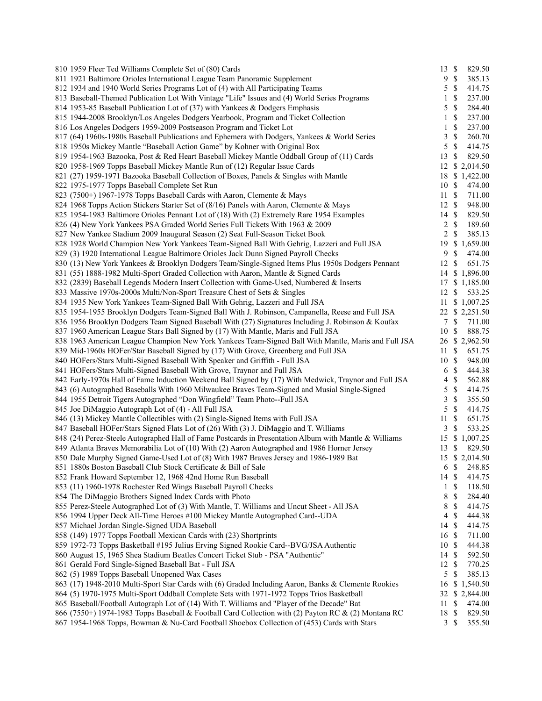| 810 1959 Fleer Ted Williams Complete Set of (80) Cards                                                | $13 \text{ }$ \$ |                           | 829.50           |
|-------------------------------------------------------------------------------------------------------|------------------|---------------------------|------------------|
| 811 1921 Baltimore Orioles International League Team Panoramic Supplement                             |                  | 9S                        | 385.13           |
| 812 1934 and 1940 World Series Programs Lot of (4) with All Participating Teams                       | 5                | $\mathbb{S}$              | 414.75           |
| 813 Baseball-Themed Publication Lot With Vintage "Life" Issues and (4) World Series Programs          | 1                | \$                        | 237.00           |
| 814 1953-85 Baseball Publication Lot of (37) with Yankees & Dodgers Emphasis                          | 5                | $\mathbb{S}$              | 284.40           |
| 815 1944-2008 Brooklyn/Los Angeles Dodgers Yearbook, Program and Ticket Collection                    | 1                | $\mathbb{S}$              | 237.00           |
| 816 Los Angeles Dodgers 1959-2009 Postseason Program and Ticket Lot                                   | 1                | $\mathbb S$               | 237.00           |
| 817 (64) 1960s-1980s Baseball Publications and Ephemera with Dodgers, Yankees & World Series          | 3                | $\mathbb{S}$              | 260.70           |
| 818 1950s Mickey Mantle "Baseball Action Game" by Kohner with Original Box                            | 5                | $\mathbb{S}$              | 414.75           |
| 819 1954-1963 Bazooka, Post & Red Heart Baseball Mickey Mantle Oddball Group of (11) Cards            | 13               | $\mathbb{S}$              | 829.50           |
| 820 1958-1969 Topps Baseball Mickey Mantle Run of (12) Regular Issue Cards                            | 12               |                           | \$2,014.50       |
| 821 (27) 1959-1971 Bazooka Baseball Collection of Boxes, Panels & Singles with Mantle                 |                  |                           | 18 \$ 1,422.00   |
| 822 1975-1977 Topps Baseball Complete Set Run                                                         | 10S              |                           | 474.00           |
| 823 (7500+) 1967-1978 Topps Baseball Cards with Aaron, Clemente & Mays                                | $11 \text{ }$ \$ |                           | 711.00           |
| 824 1968 Topps Action Stickers Starter Set of (8/16) Panels with Aaron, Clemente & Mays               | 12S              |                           | 948.00           |
| 825 1954-1983 Baltimore Orioles Pennant Lot of (18) With (2) Extremely Rare 1954 Examples             | $14 \text{ }$ \$ |                           | 829.50           |
| 826 (4) New York Yankees PSA Graded World Series Full Tickets With 1963 & 2009                        |                  | $2 \sqrt{s}$              | 189.60           |
| 827 New Yankee Stadium 2009 Inaugural Season (2) Seat Full-Season Ticket Book                         | $\overline{2}$   | $\mathbb{S}$              | 385.13           |
| 828 1928 World Champion New York Yankees Team-Signed Ball With Gehrig, Lazzeri and Full JSA           | 19               |                           | \$1,659.00       |
| 829 (3) 1920 International League Baltimore Orioles Jack Dunn Signed Payroll Checks                   | 9                | $\mathbb{S}$              | 474.00           |
| 830 (13) New York Yankees & Brooklyn Dodgers Team/Single-Signed Items Plus 1950s Dodgers Pennant      | 12               | -S                        | 651.75           |
| 831 (55) 1888-1982 Multi-Sport Graded Collection with Aaron, Mantle & Signed Cards                    |                  |                           | 14 \$ 1,896.00   |
| 832 (2839) Baseball Legends Modern Insert Collection with Game-Used, Numbered & Inserts               | 17               |                           | \$1,185.00       |
| 833 Massive 1970s-2000s Multi/Non-Sport Treasure Chest of Sets & Singles                              | 12               | \$                        | 533.25           |
| 834 1935 New York Yankees Team-Signed Ball With Gehrig, Lazzeri and Full JSA                          | 11               |                           | \$1,007.25       |
| 835 1954-1955 Brooklyn Dodgers Team-Signed Ball With J. Robinson, Campanella, Reese and Full JSA      |                  |                           | 22 \$ 2,251.50   |
| 836 1956 Brooklyn Dodgers Team Signed Baseball With (27) Signatures Including J. Robinson & Koufax    | $\tau$           | -S                        | 711.00           |
| 837 1960 American League Stars Ball Signed by (17) With Mantle, Maris and Full JSA                    | 10S              |                           | 888.75           |
| 838 1963 American League Champion New York Yankees Team-Signed Ball With Mantle, Maris and Full JSA   |                  |                           | 26 \$ 2,962.50   |
| 839 Mid-1960s HOFer/Star Baseball Signed by (17) With Grove, Greenberg and Full JSA                   | 11               | $\mathbb{S}$              | 651.75           |
|                                                                                                       | 10S              |                           | 948.00           |
| 840 HOFers/Stars Multi-Signed Baseball With Speaker and Griffith - Full JSA                           | 6                | $\mathbb{S}$              | 444.38           |
| 841 HOFers/Stars Multi-Signed Baseball With Grove, Traynor and Full JSA                               |                  | $\mathbb{S}$              |                  |
| 842 Early-1970s Hall of Fame Induction Weekend Ball Signed by (17) With Medwick, Traynor and Full JSA | 4<br>5           | $\mathbb{S}$              | 562.88           |
| 843 (6) Autographed Baseballs With 1960 Milwaukee Braves Team-Signed and Musial Single-Signed         | 3                | $\mathbb{S}$              | 414.75<br>355.50 |
| 844 1955 Detroit Tigers Autographed "Don Wingfield" Team Photo--Full JSA                              |                  |                           |                  |
| 845 Joe DiMaggio Autograph Lot of (4) - All Full JSA                                                  | 5                | $\mathbb{S}$              | 414.75           |
| 846 (13) Mickey Mantle Collectibles with (2) Single-Signed Items with Full JSA                        | 11               | $\mathbb{S}$              | 651.75<br>533.25 |
| 847 Baseball HOFer/Stars Signed Flats Lot of (26) With (3) J. DiMaggio and T. Williams                | 3                | $\mathbb{S}$              |                  |
| 848 (24) Perez-Steele Autographed Hall of Fame Postcards in Presentation Album with Mantle & Williams | 15               |                           | \$1,007.25       |
| 849 Atlanta Braves Memorabilia Lot of (10) With (2) Aaron Autographed and 1986 Horner Jersey          | 13               | \$                        | 829.50           |
| 850 Dale Murphy Signed Game-Used Lot of (8) With 1987 Braves Jersey and 1986-1989 Bat                 |                  |                           | 15 \$ 2,014.50   |
| 851 1880s Boston Baseball Club Stock Certificate & Bill of Sale                                       |                  | 6 <sup>°</sup>            | 248.85           |
| 852 Frank Howard September 12, 1968 42nd Home Run Baseball                                            | $14 \text{ }$ \$ |                           | 414.75           |
| 853 (11) 1960-1978 Rochester Red Wings Baseball Payroll Checks                                        |                  | $1 \text{ }$              | 118.50           |
| 854 The DiMaggio Brothers Signed Index Cards with Photo                                               | 8                | $\mathbb{S}$              | 284.40           |
| 855 Perez-Steele Autographed Lot of (3) With Mantle, T. Williams and Uncut Sheet - All JSA            | 8                | $\mathbb{S}$              | 414.75           |
| 856 1994 Upper Deck All-Time Heroes #100 Mickey Mantle Autographed Card--UDA                          | 4                | $\mathbb{S}$              | 444.38           |
| 857 Michael Jordan Single-Signed UDA Baseball                                                         | 14 \$            |                           | 414.75           |
| 858 (149) 1977 Topps Football Mexican Cards with (23) Shortprints                                     | 16 \$            |                           | 711.00           |
| 859 1972-73 Topps Basketball #195 Julius Erving Signed Rookie Card--BVG/JSA Authentic                 | 10S              |                           | 444.38           |
| 860 August 15, 1965 Shea Stadium Beatles Concert Ticket Stub - PSA "Authentic"                        | 14S              |                           | 592.50           |
| 861 Gerald Ford Single-Signed Baseball Bat - Full JSA                                                 | 12 \$            |                           | 770.25           |
| 862 (5) 1989 Topps Baseball Unopened Wax Cases                                                        | 5                | $\mathbb{S}$              | 385.13           |
| 863 (17) 1948-2010 Multi-Sport Star Cards with (6) Graded Including Aaron, Banks & Clemente Rookies   | 16               |                           | \$1,540.50       |
| 864 (5) 1970-1975 Multi-Sport Oddball Complete Sets with 1971-1972 Topps Trios Basketball             | 32               |                           | \$2,844.00       |
| 865 Baseball/Football Autograph Lot of (14) With T. Williams and "Player of the Decade" Bat           | 11               | $\boldsymbol{\mathsf{S}}$ | 474.00           |
| 866 (7550+) 1974-1983 Topps Baseball & Football Card Collection with (2) Payton RC & (2) Montana RC   | 18               | $\mathcal{S}$             | 829.50           |
| 867 1954-1968 Topps, Bowman & Nu-Card Football Shoebox Collection of (453) Cards with Stars           | $\mathbf{3}$     | $\boldsymbol{\mathsf{S}}$ | 355.50           |